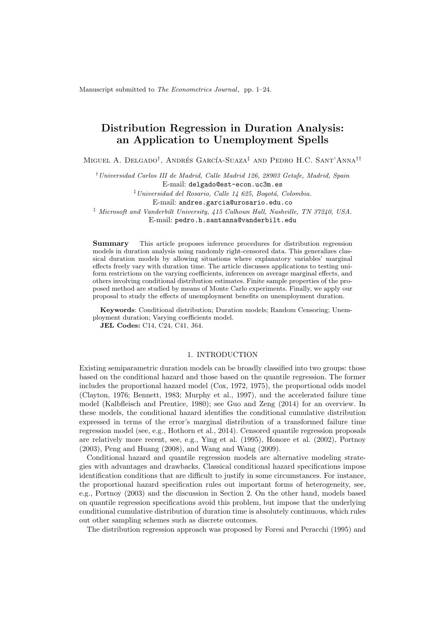Manuscript submitted to The Econometrics Journal, pp. 1–24.

# Distribution Regression in Duration Analysis: an Application to Unemployment Spells

Miguel A. Delgado<sup>†</sup>, Andrés García-Suaza<sup>‡</sup> and Pedro H.C. Sant'Anna<sup>††</sup>

†Universidad Carlos III de Madrid, Calle Madrid 126, 28903 Getafe, Madrid, Spain E-mail: delgado@est-econ.uc3m.es

 $\frac{1}{2}$ Universidad del Rosario, Calle 14 625, Bogotá, Colombia.

E-mail: andres.garcia@urosario.edu.co

<sup>‡</sup> Microsoft and Vanderbilt University, 415 Calhoun Hall, Nashville, TN 37240, USA.

E-mail: pedro.h.santanna@vanderbilt.edu

Summary This article proposes inference procedures for distribution regression models in duration analysis using randomly right-censored data. This generalizes classical duration models by allowing situations where explanatory variables' marginal effects freely vary with duration time. The article discusses applications to testing uniform restrictions on the varying coefficients, inferences on average marginal effects, and others involving conditional distribution estimates. Finite sample properties of the proposed method are studied by means of Monte Carlo experiments. Finally, we apply our proposal to study the effects of unemployment benefits on unemployment duration.

Keywords: Conditional distribution; Duration models; Random Censoring; Unemployment duration; Varying coefficients model.

JEL Codes: C14, C24, C41, J64.

#### 1. INTRODUCTION

Existing semiparametric duration models can be broadly classified into two groups: those based on the conditional hazard and those based on the quantile regression. The former includes the proportional hazard model (Cox, 1972, 1975), the proportional odds model (Clayton, 1976; Bennett, 1983; Murphy et al., 1997), and the accelerated failure time model (Kalbfleisch and Prentice, 1980); see Guo and Zeng (2014) for an overview. In these models, the conditional hazard identifies the conditional cumulative distribution expressed in terms of the error's marginal distribution of a transformed failure time regression model (see, e.g., Hothorn et al., 2014). Censored quantile regression proposals are relatively more recent, see, e.g., Ying et al. (1995), Honore et al. (2002), Portnoy (2003), Peng and Huang (2008), and Wang and Wang (2009).

Conditional hazard and quantile regression models are alternative modeling strategies with advantages and drawbacks. Classical conditional hazard specifications impose identification conditions that are difficult to justify in some circumstances. For instance, the proportional hazard specification rules out important forms of heterogeneity, see, e.g., Portnoy (2003) and the discussion in Section 2. On the other hand, models based on quantile regression specifications avoid this problem, but impose that the underlying conditional cumulative distribution of duration time is absolutely continuous, which rules out other sampling schemes such as discrete outcomes.

The distribution regression approach was proposed by Foresi and Peracchi (1995) and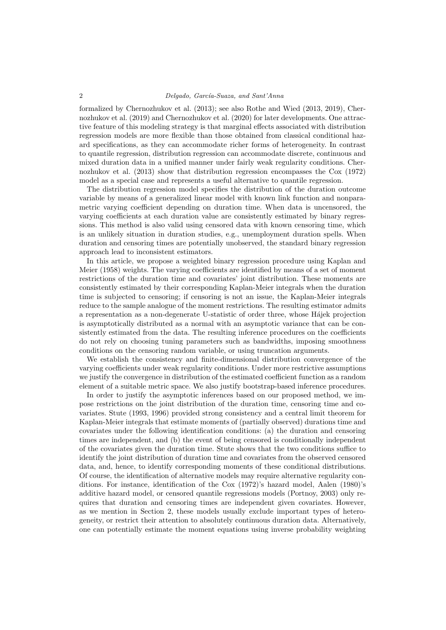formalized by Chernozhukov et al. (2013); see also Rothe and Wied (2013, 2019), Chernozhukov et al. (2019) and Chernozhukov et al. (2020) for later developments. One attractive feature of this modeling strategy is that marginal effects associated with distribution regression models are more flexible than those obtained from classical conditional hazard specifications, as they can accommodate richer forms of heterogeneity. In contrast to quantile regression, distribution regression can accommodate discrete, continuous and mixed duration data in a unified manner under fairly weak regularity conditions. Chernozhukov et al. (2013) show that distribution regression encompasses the Cox (1972) model as a special case and represents a useful alternative to quantile regression.

The distribution regression model specifies the distribution of the duration outcome variable by means of a generalized linear model with known link function and nonparametric varying coefficient depending on duration time. When data is uncensored, the varying coefficients at each duration value are consistently estimated by binary regressions. This method is also valid using censored data with known censoring time, which is an unlikely situation in duration studies, e.g., unemployment duration spells. When duration and censoring times are potentially unobserved, the standard binary regression approach lead to inconsistent estimators.

In this article, we propose a weighted binary regression procedure using Kaplan and Meier (1958) weights. The varying coefficients are identified by means of a set of moment restrictions of the duration time and covariates' joint distribution. These moments are consistently estimated by their corresponding Kaplan-Meier integrals when the duration time is subjected to censoring; if censoring is not an issue, the Kaplan-Meier integrals reduce to the sample analogue of the moment restrictions. The resulting estimator admits a representation as a non-degenerate U-statistic of order three, whose H´ajek projection is asymptotically distributed as a normal with an asymptotic variance that can be consistently estimated from the data. The resulting inference procedures on the coefficients do not rely on choosing tuning parameters such as bandwidths, imposing smoothness conditions on the censoring random variable, or using truncation arguments.

We establish the consistency and finite-dimensional distribution convergence of the varying coefficients under weak regularity conditions. Under more restrictive assumptions we justify the convergence in distribution of the estimated coefficient function as a random element of a suitable metric space. We also justify bootstrap-based inference procedures.

In order to justify the asymptotic inferences based on our proposed method, we impose restrictions on the joint distribution of the duration time, censoring time and covariates. Stute (1993, 1996) provided strong consistency and a central limit theorem for Kaplan-Meier integrals that estimate moments of (partially observed) durations time and covariates under the following identification conditions: (a) the duration and censoring times are independent, and (b) the event of being censored is conditionally independent of the covariates given the duration time. Stute shows that the two conditions suffice to identify the joint distribution of duration time and covariates from the observed censored data, and, hence, to identify corresponding moments of these conditional distributions. Of course, the identification of alternative models may require alternative regularity conditions. For instance, identification of the Cox (1972)'s hazard model, Aalen (1980)'s additive hazard model, or censored quantile regressions models (Portnoy, 2003) only requires that duration and censoring times are independent given covariates. However, as we mention in Section 2, these models usually exclude important types of heterogeneity, or restrict their attention to absolutely continuous duration data. Alternatively, one can potentially estimate the moment equations using inverse probability weighting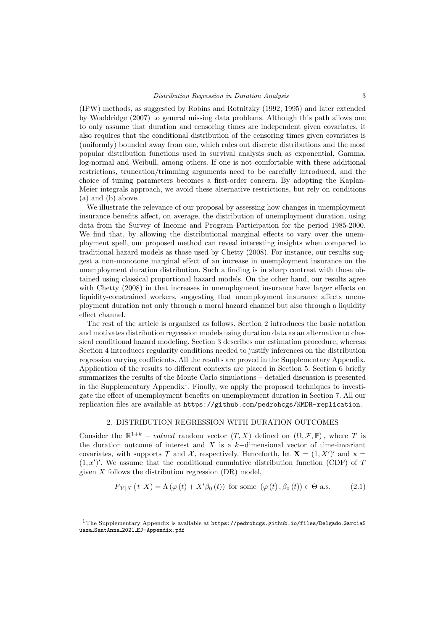(IPW) methods, as suggested by Robins and Rotnitzky (1992, 1995) and later extended by Wooldridge (2007) to general missing data problems. Although this path allows one to only assume that duration and censoring times are independent given covariates, it also requires that the conditional distribution of the censoring times given covariates is (uniformly) bounded away from one, which rules out discrete distributions and the most popular distribution functions used in survival analysis such as exponential, Gamma, log-normal and Weibull, among others. If one is not comfortable with these additional restrictions, truncation/trimming arguments need to be carefully introduced, and the choice of tuning parameters becomes a first-order concern. By adopting the Kaplan-Meier integrals approach, we avoid these alternative restrictions, but rely on conditions (a) and (b) above.

We illustrate the relevance of our proposal by assessing how changes in unemployment insurance benefits affect, on average, the distribution of unemployment duration, using data from the Survey of Income and Program Participation for the period 1985-2000. We find that, by allowing the distributional marginal effects to vary over the unemployment spell, our proposed method can reveal interesting insights when compared to traditional hazard models as those used by Chetty (2008). For instance, our results suggest a non-monotone marginal effect of an increase in unemployment insurance on the unemployment duration distribution. Such a finding is in sharp contrast with those obtained using classical proportional hazard models. On the other hand, our results agree with Chetty (2008) in that increases in unemployment insurance have larger effects on liquidity-constrained workers, suggesting that unemployment insurance affects unemployment duration not only through a moral hazard channel but also through a liquidity effect channel.

The rest of the article is organized as follows. Section 2 introduces the basic notation and motivates distribution regression models using duration data as an alternative to classical conditional hazard modeling. Section 3 describes our estimation procedure, whereas Section 4 introduces regularity conditions needed to justify inferences on the distribution regression varying coefficients. All the results are proved in the Supplementary Appendix. Application of the results to different contexts are placed in Section 5. Section 6 briefly summarizes the results of the Monte Carlo simulations – detailed discussion is presented in the Supplementary Appendix<sup>1</sup>. Finally, we apply the proposed techniques to investigate the effect of unemployment benefits on unemployment duration in Section 7. All our replication files are available at https://github.com/pedrohcgs/KMDR-replication.

# 2. DISTRIBUTION REGRESSION WITH DURATION OUTCOMES

Consider the  $\mathbb{R}^{1+k}$  – *valued* random vector  $(T, X)$  defined on  $(\Omega, \mathcal{F}, \mathbb{P})$ , where T is the duration outcome of interest and X is a  $k-$ dimensional vector of time-invariant covariates, with supports  $\mathcal T$  and  $\mathcal X$ , respectively. Henceforth, let  $\mathbf X = (1, X')'$  and  $\mathbf x =$  $(1, x')'$ . We assume that the conditional cumulative distribution function (CDF) of T given  $X$  follows the distribution regression  $(DR)$  model.

$$
F_{Y|X}(t|X) = \Lambda(\varphi(t) + X'\beta_0(t)) \text{ for some } (\varphi(t), \beta_0(t)) \in \Theta \text{ a.s.}
$$
 (2.1)

<sup>&</sup>lt;sup>1</sup>The Supplementary Appendix is available at https://pedrohcgs.github.io/files/Delgado\_GarciaS uaza SantAnna 2021 EJ-Appendix.pdf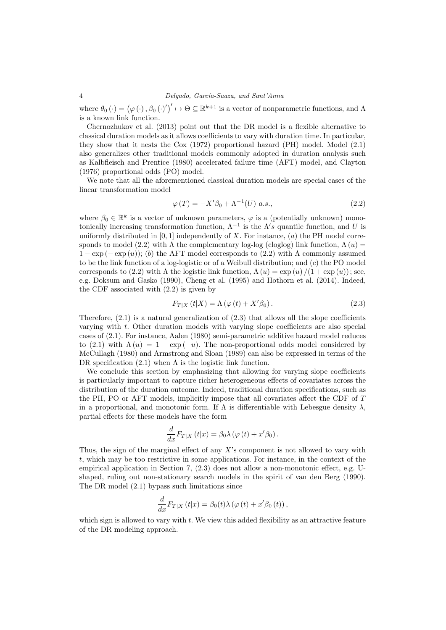# 4 Delgado, García-Suaza, and Sant'Anna

where  $\theta_0(\cdot) = (\varphi(\cdot), \beta_0(\cdot)')' \mapsto \Theta \subseteq \mathbb{R}^{k+1}$  is a vector of nonparametric functions, and  $\Lambda$ is a known link function.

Chernozhukov et al. (2013) point out that the DR model is a flexible alternative to classical duration models as it allows coefficients to vary with duration time. In particular, they show that it nests the Cox (1972) proportional hazard (PH) model. Model (2.1) also generalizes other traditional models commonly adopted in duration analysis such as Kalbfleisch and Prentice (1980) accelerated failure time (AFT) model, and Clayton (1976) proportional odds (PO) model.

We note that all the aforementioned classical duration models are special cases of the linear transformation model

$$
\varphi(T) = -X'\beta_0 + \Lambda^{-1}(U) a.s.,\tag{2.2}
$$

where  $\beta_0 \in \mathbb{R}^k$  is a vector of unknown parameters,  $\varphi$  is a (potentially unknown) monotonically increasing transformation function,  $\Lambda^{-1}$  is the  $\Lambda's$  quantile function, and U is uniformly distributed in  $[0, 1]$  independently of X. For instance,  $(a)$  the PH model corresponds to model (2.2) with  $\Lambda$  the complementary log-log (cloglog) link function,  $\Lambda(u)$  =  $1 - \exp(-\exp(u))$ ; (b) the AFT model corresponds to (2.2) with  $\Lambda$  commonly assumed to be the link function of a log-logistic or of a Weibull distribution; and  $(c)$  the PO model corresponds to (2.2) with  $\Lambda$  the logistic link function,  $\Lambda(u) = \exp(u)/(1 + \exp(u))$ ; see, e.g. Doksum and Gasko (1990), Cheng et al. (1995) and Hothorn et al. (2014). Indeed, the CDF associated with (2.2) is given by

$$
F_{T|X}(t|X) = \Lambda\left(\varphi\left(t\right) + X'\beta_0\right). \tag{2.3}
$$

Therefore,  $(2.1)$  is a natural generalization of  $(2.3)$  that allows all the slope coefficients varying with t. Other duration models with varying slope coefficients are also special cases of (2.1). For instance, Aalen (1980) semi-parametric additive hazard model reduces to (2.1) with  $\Lambda(u) = 1 - \exp(-u)$ . The non-proportional odds model considered by McCullagh (1980) and Armstrong and Sloan (1989) can also be expressed in terms of the DR specification  $(2.1)$  when  $\Lambda$  is the logistic link function.

We conclude this section by emphasizing that allowing for varying slope coefficients is particularly important to capture richer heterogeneous effects of covariates across the distribution of the duration outcome. Indeed, traditional duration specifications, such as the PH, PO or AFT models, implicitly impose that all covariates affect the CDF of T in a proportional, and monotonic form. If  $\Lambda$  is differentiable with Lebesgue density  $\lambda$ . partial effects for these models have the form

$$
\frac{d}{dx}F_{T|X}(t|x) = \beta_0 \lambda (\varphi(t) + x'\beta_0).
$$

Thus, the sign of the marginal effect of any  $X$ 's component is not allowed to vary with t, which may be too restrictive in some applications. For instance, in the context of the empirical application in Section 7, (2.3) does not allow a non-monotonic effect, e.g. Ushaped, ruling out non-stationary search models in the spirit of van den Berg (1990). The DR model (2.1) bypass such limitations since

$$
\frac{d}{dx}F_{T|X}(t|x) = \beta_0(t)\lambda(\varphi(t) + x'\beta_0(t)),
$$

which sign is allowed to vary with  $t$ . We view this added flexibility as an attractive feature of the DR modeling approach.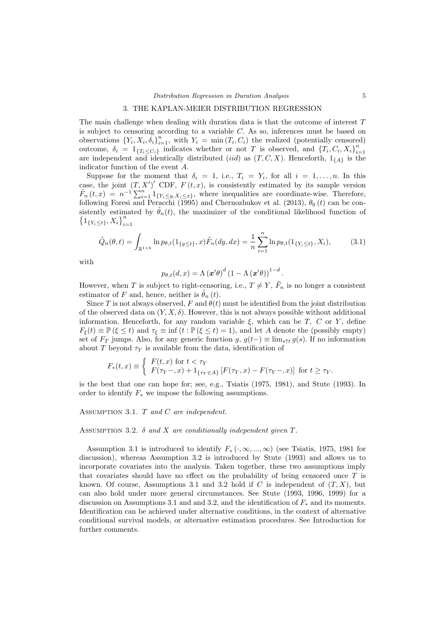#### 3. THE KAPLAN-MEIER DISTRIBUTION REGRESSION

The main challenge when dealing with duration data is that the outcome of interest  $T$ is subject to censoring according to a variable  $C$ . As so, inferences must be based on observations  ${Y_i, X_i, \delta_i}_{i=1}^n$ , with  $Y_i = \min(T_i, C_i)$  the realized (potentially censored) outcome,  $\delta_i = 1_{\{T_i \leq C_i\}}$  indicates whether or not T is observed, and  $\{T_i, C_i, X_i\}_{i=1}^n$ are independent and identically distributed *(iid)* as  $(T, C, X)$ . Henceforth,  $1_{\{A\}}$  is the indicator function of the event A.

Suppose for the moment that  $\delta_i = 1$ , i.e.,  $T_i = Y_i$ , for all  $i = 1, ..., n$ . In this case, the joint  $(T, X')'$  CDF,  $F(t, x)$ , is consistently estimated by its sample version  $\tilde{F}_n(t,x) = n^{-1} \sum_{i=1}^n 1_{\{Y_i \leq y, X_i \leq x\}}$ , where inequalities are coordinate-wise. Therefore, following Foresi and Peracchi (1995) and Chernozhukov et al. (2013),  $\theta_0(t)$  can be consistently estimated by  $\ddot{\theta}_n(t)$ , the maximizer of the conditional likelihood function of  $\left\{1_{\{Y_i \leq t\}}, X_i\right\}_{i=1}^n$ 

$$
\tilde{Q}_n(\theta, t) = \int_{\mathbb{R}^{1+k}} \ln p_{\theta, t}(1_{\{y \le t\}}, x) \tilde{F}_n(dy, dx) = \frac{1}{n} \sum_{i=1}^n \ln p_{\theta, t}(1_{\{Y_i \le t\}}, X_i), \tag{3.1}
$$

with

$$
p_{\theta,t}(d,x) = \Lambda (\boldsymbol{x}'\theta)^d \left(1 - \Lambda (\boldsymbol{x}'\theta)\right)^{1-d}.
$$

However, when T is subject to right-censoring, i.e.,  $T \neq Y$ ,  $\tilde{F}_n$  is no longer a consistent estimator of F and, hence, neither is  $\hat{\theta}_n(t)$ .

Since T is not always observed, F and  $\theta(t)$  must be identified from the joint distribution of the observed data on  $(Y, X, \delta)$ . However, this is not always possible without additional information. Henceforth, for any random variable  $\xi$ , which can be T, C or Y, define  $F_{\xi}(t) \equiv \mathbb{P}(\xi \leq t)$  and  $\tau_{\xi} \equiv \inf (t : \mathbb{P}(\xi \leq t) = 1)$ , and let A denote the (possibly empty) set of  $F_T$  jumps. Also, for any generic function g,  $g(t-) \equiv \lim_{s \uparrow t} g(s)$ . If no information about T beyond  $\tau_Y$  is available from the data, identification of

$$
F_*(t,x) \equiv \begin{cases} F(t,x) \text{ for } t < \tau_Y \\ F(\tau_Y-,x) + 1_{\{\tau_Y \in A\}} \left[ F(\tau_Y,x) - F(\tau_Y-,x) \right] \text{ for } t \ge \tau_Y. \end{cases}
$$

is the best that one can hope for; see, e.g., Tsiatis (1975, 1981), and Stute (1993). In order to identify  $F_*$  we impose the following assumptions.

Assumption 3.1. T and C are independent.

ASSUMPTION 3.2.  $\delta$  and X are conditionally independent given T.

Assumption 3.1 is introduced to identify  $F_*(\cdot, \infty, ..., \infty)$  (see Tsiatis, 1975, 1981 for discussion), whereas Assumption 3.2 is introduced by Stute (1993) and allows us to incorporate covariates into the analysis. Taken together, these two assumptions imply that covariates should have no effect on the probability of being censored once  $T$  is known. Of course, Assumptions 3.1 and 3.2 hold if C is independent of  $(T, X)$ , but can also hold under more general circumstances. See Stute (1993, 1996, 1999) for a discussion on Assumptions 3.1 and and 3.2, and the identification of  $F_*$  and its moments. Identification can be achieved under alternative conditions, in the context of alternative conditional survival models, or alternative estimation procedures. See Introduction for further comments.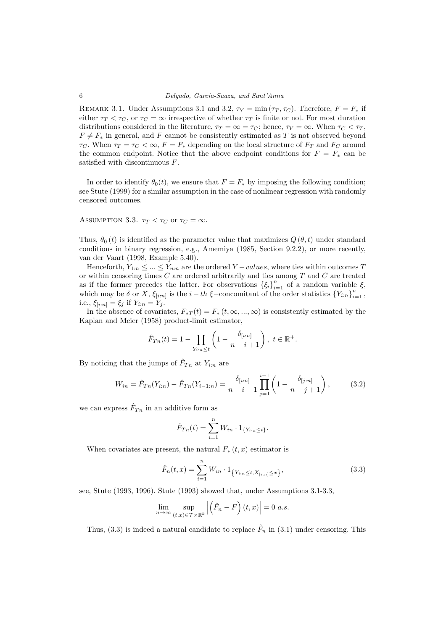REMARK 3.1. Under Assumptions 3.1 and 3.2,  $\tau_Y = \min(\tau_T, \tau_C)$ . Therefore,  $F = F_*$  if either  $\tau_T < \tau_C$ , or  $\tau_C = \infty$  irrespective of whether  $\tau_T$  is finite or not. For most duration distributions considered in the literature,  $\tau_T = \infty = \tau_C$ ; hence,  $\tau_Y = \infty$ . When  $\tau_C < \tau_T$ ,  $F \neq F_*$  in general, and F cannot be consistently estimated as T is not observed beyond  $\tau_C$ . When  $\tau_T = \tau_C < \infty$ ,  $F = F_*$  depending on the local structure of  $F_T$  and  $F_C$  around the common endpoint. Notice that the above endpoint conditions for  $F = F_*$  can be satisfied with discontinuous F.

In order to identify  $\theta_0(t)$ , we ensure that  $F = F_*$  by imposing the following condition; see Stute (1999) for a similar assumption in the case of nonlinear regression with randomly censored outcomes.

ASSUMPTION 3.3.  $\tau_T < \tau_C$  or  $\tau_C = \infty$ .

Thus,  $\theta_0(t)$  is identified as the parameter value that maximizes  $Q(\theta, t)$  under standard conditions in binary regression, e.g., Amemiya (1985, Section 9.2.2), or more recently, van der Vaart (1998, Example 5.40).

Henceforth,  $Y_{1:n} \leq ... \leq Y_{n:n}$  are the ordered  $Y-values$ , where ties within outcomes T or within censoring times  $C$  are ordered arbitrarily and ties among  $T$  and  $C$  are treated as if the former precedes the latter. For observations  $\{\xi_i\}_{i=1}^n$  of a random variable  $\xi$ , which may be  $\delta$  or X,  $\xi_{[i:n]}$  is the  $i-th \xi$ -concomitant of the order statistics  ${Y_{i:n}}_{i=1}^n$ , i.e.,  $\xi_{[i:n]} = \xi_j$  if  $Y_{i:n} = Y_j$ .

In the absence of covariates,  $F_*T(t) = F_*(t, \infty, ..., \infty)$  is consistently estimated by the Kaplan and Meier (1958) product-limit estimator,

$$
\hat{F}_{Tn}(t) = 1 - \prod_{Y_{i:n} \le t} \left(1 - \frac{\delta_{[i:n]}}{n - i + 1}\right), \ t \in \mathbb{R}^+.
$$

By noticing that the jumps of  $\hat{F}_{T_n}$  at  $Y_{i:n}$  are

$$
W_{in} = \hat{F}_{Tn}(Y_{i:n}) - \hat{F}_{Tn}(Y_{i-1:n}) = \frac{\delta_{[i:n]}}{n-i+1} \prod_{j=1}^{i-1} \left(1 - \frac{\delta_{[j:n]}}{n-j+1}\right),\tag{3.2}
$$

we can express  $\hat{F}_{Tn}$  in an additive form as

$$
\hat{F}_{Tn}(t) = \sum_{i=1}^{n} W_{in} \cdot 1_{\{Y_{i:n} \le t\}}.
$$

When covariates are present, the natural  $F_*(t, x)$  estimator is

$$
\hat{F}_n(t,x) = \sum_{i=1}^n W_{in} \cdot 1_{\{Y_{i:n} \le t, X_{[i:n]} \le x\}},
$$
\n(3.3)

see, Stute (1993, 1996). Stute (1993) showed that, under Assumptions 3.1-3.3,

$$
\lim_{n \to \infty} \sup_{(t,x) \in \mathcal{T} \times \mathbb{R}^k} \left| \left( \hat{F}_n - F \right) (t, x) \right| = 0 \text{ a.s.}
$$

Thus, (3.3) is indeed a natural candidate to replace  $\tilde{F}_n$  in (3.1) under censoring. This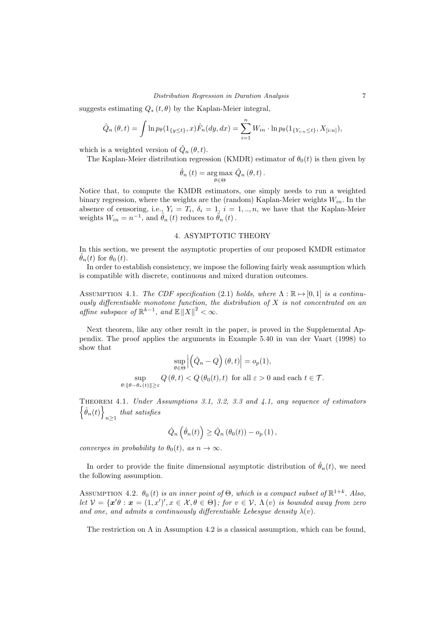suggests estimating  $Q_*(t, \theta)$  by the Kaplan-Meier integral,

$$
\hat{Q}_n(\theta, t) = \int \ln p_{\theta}(1_{\{y \le t\}}, x) \hat{F}_n(dy, dx) = \sum_{i=1}^n W_{in} \cdot \ln p_{\theta}(1_{\{Y_{i:n} \le t\}}, X_{[i:n]}),
$$

which is a weighted version of  $\tilde{Q}_n(\theta, t)$ .

The Kaplan-Meier distribution regression (KMDR) estimator of  $\theta_0(t)$  is then given by

$$
\hat{\theta}_n(t) = \underset{\theta \in \Theta}{\arg \max} \ \hat{Q}_n(\theta, t) \, .
$$

Notice that, to compute the KMDR estimators, one simply needs to run a weighted binary regression, where the weights are the (random) Kaplan-Meier weights  $W_{in}$ . In the absence of censoring, i.e.,  $Y_i = T_i$ ,  $\delta_i = 1$ ,  $i = 1, ..., n$ , we have that the Kaplan-Meier weights  $W_{in} = n^{-1}$ , and  $\hat{\theta}_n(t)$  reduces to  $\tilde{\theta}_n(t)$ .

## 4. ASYMPTOTIC THEORY

In this section, we present the asymptotic properties of our proposed KMDR estimator  $\hat{\theta}_n(t)$  for  $\theta_0(t)$ .

In order to establish consistency, we impose the following fairly weak assumption which is compatible with discrete, continuous and mixed duration outcomes.

ASSUMPTION 4.1. The CDF specification (2.1) holds, where  $\Lambda : \mathbb{R} \rightarrow [0, 1]$  is a continuously differentiable monotone function, the distribution of  $X$  is not concentrated on an affine subspace of  $\mathbb{R}^{k-1}$ , and  $\mathbb{E} \Vert X \Vert^2 < \infty$ .

Next theorem, like any other result in the paper, is proved in the Supplemental Appendix. The proof applies the arguments in Example 5.40 in van der Vaart (1998) to show that

$$
\sup_{\theta \in \Theta} \left| \left( \hat{Q}_n - Q \right) (\theta, t) \right| = o_p(1),
$$
  
\n
$$
\sup_{\theta : \|\theta - \theta_*(t)\| \ge \varepsilon} Q(\theta, t) < Q(\theta_0(t), t) \text{ for all } \varepsilon > 0 \text{ and each } t \in \mathcal{T}.
$$

Theorem 4.1. Under Assumptions 3.1, 3.2, 3.3 and 4.1, any sequence of estimators  $\left\{\hat{\theta}_n(t)\right\}$ that satisfies

$$
\hat{Q}_n\left(\hat{\theta}_n(t)\right) \geq \hat{Q}_n\left(\theta_0(t)\right) - o_p\left(1\right),\,
$$

converges in probability to  $\theta_0(t)$ , as  $n \to \infty$ .

In order to provide the finite dimensional asymptotic distribution of  $\hat{\theta}_n(t)$ , we need the following assumption.

ASSUMPTION 4.2.  $\theta_0(t)$  is an inner point of  $\Theta$ , which is a compact subset of  $\mathbb{R}^{1+k}$ . Also, let  $V = \{x'\theta : x = (1, x')', x \in \mathcal{X}, \theta \in \Theta\}$ ; for  $v \in V$ ,  $\Lambda(v)$  is bounded away from zero and one, and admits a continuously differentiable Lebesgue density  $\lambda(v)$ .

The restriction on  $\Lambda$  in Assumption 4.2 is a classical assumption, which can be found,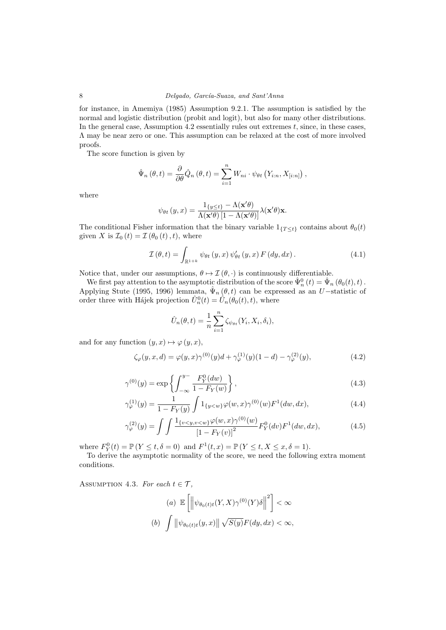for instance, in Amemiya (1985) Assumption 9.2.1. The assumption is satisfied by the normal and logistic distribution (probit and logit), but also for many other distributions. In the general case, Assumption 4.2 essentially rules out extremes  $t$ , since, in these cases, Λ may be near zero or one. This assumption can be relaxed at the cost of more involved proofs.

The score function is given by

$$
\hat{\Psi}_n(\theta, t) = \frac{\partial}{\partial \theta} \hat{Q}_n(\theta, t) = \sum_{i=1}^n W_{ni} \cdot \psi_{\theta t} (Y_{i:n}, X_{[i:n]})
$$

where

$$
\psi_{\theta t}\left(y,x\right)=\frac{\mathbf{1}_{\left\{y\leq t\right\}}-\Lambda(\mathbf{x}'\theta)}{\Lambda(\mathbf{x}'\theta)\left[1-\Lambda(\mathbf{x}'\theta)\right]}\lambda(\mathbf{x}'\theta)\mathbf{x}.
$$

The conditional Fisher information that the binary variable  $1_{\{T\leq t\}}$  contains about  $\theta_0(t)$ given X is  $\mathcal{I}_0(t) = \mathcal{I}(\theta_0(t), t)$ , where

$$
\mathcal{I}(\theta, t) = \int_{\mathbb{R}^{1+k}} \psi_{\theta t} (y, x) \psi_{\theta t}' (y, x) F (dy, dx).
$$
 (4.1)

Notice that, under our assumptions,  $\theta \mapsto \mathcal{I}(\theta, \cdot)$  is continuously differentiable.

We first pay attention to the asymptotic distribution of the score  $\hat{\Psi}_n^0(t) = \hat{\Psi}_n(\theta_0(t), t)$ . Applying Stute (1995, 1996) lemmata,  $\hat{\Psi}_n(\theta, t)$  can be expressed as an U-statistic of order three with Hájek projection  $\hat{U}_n^0(t) = \hat{U}_n(\theta_0(t), t)$ , where

$$
\hat{U}_n(\theta, t) = \frac{1}{n} \sum_{i=1}^n \zeta_{\psi_{\theta t}}(Y_i, X_i, \delta_i),
$$

and for any function  $(y, x) \mapsto \varphi(y, x),$ 

$$
\zeta_{\varphi}(y, x, d) = \varphi(y, x)\gamma^{(0)}(y)d + \gamma_{\varphi}^{(1)}(y)(1 - d) - \gamma_{\varphi}^{(2)}(y),
$$
\n(4.2)

$$
\gamma^{(0)}(y) = \exp\left\{ \int_{-\infty}^{y-} \frac{F_Y^0(dw)}{1 - F_Y(w)} \right\},\tag{4.3}
$$

$$
\gamma_{\varphi}^{(1)}(y) = \frac{1}{1 - F_Y(y)} \int 1_{\{y < w\}} \varphi(w, x) \gamma^{(0)}(w) F^1(dw, dx), \tag{4.4}
$$

$$
\gamma_{\varphi}^{(2)}(y) = \int \int \frac{\mathbb{1}_{\{v < y, v < w\}} \varphi(w, x) \gamma^{(0)}(w)}{\left[1 - F_Y(v)\right]^2} F_Y^0(dv) F^1(dw, dx),\tag{4.5}
$$

where  $F_Y^0(t) = \mathbb{P}(Y \le t, \delta = 0)$  and  $F^1(t, x) = \mathbb{P}(Y \le t, X \le x, \delta = 1)$ .

To derive the asymptotic normality of the score, we need the following extra moment conditions.

ASSUMPTION 4.3. For each  $t \in \mathcal{T}$ ,

(a) 
$$
\mathbb{E}\left[\left\|\psi_{\theta_0(t)t}(Y,X)\gamma^{(0)}(Y)\delta\right\|^2\right] < \infty
$$
  
(b)  $\int \left\|\psi_{\theta_0(t)t}(y,x)\right\|\sqrt{S(y)}F(dy,dx) < \infty$ ,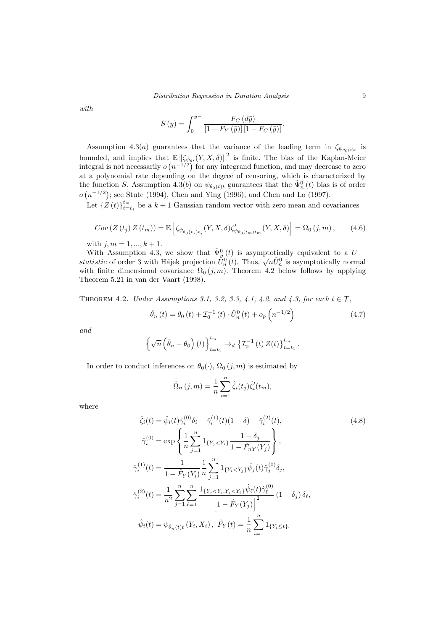with

$$
S(y) = \int_0^{y-} \frac{F_C(d\bar{y})}{\left[1 - F_Y(\bar{y})\right]\left[1 - F_C(\bar{y})\right]}.
$$

Assumption 4.3(*a*) guarantees that the variance of the leading term in  $\zeta_{\psi_{\theta_0(t)t}}$  is bounded, and implies that  $\mathbb{E} \left\| \zeta_{\psi_{\theta t}}(Y, X, \delta) \right\|^2$  is finite. The bias of the Kaplan-Meier integral is not necessarily  $o(n^{-1/2})$  for any integrand function, and may decrease to zero at a polynomial rate depending on the degree of censoring, which is characterized by the function S. Assumption 4.3(b) on  $\psi_{\theta_0(t)t}$  guarantees that the  $\hat{\Psi}_n^0(t)$  bias is of order  $o(n^{-1/2})$ ; see Stute (1994), Chen and Ying (1996), and Chen and Lo (1997).

Let  $\{Z(t)\}_{t=t_1}^{t_m}$  be a  $k+1$  Gaussian random vector with zero mean and covariances

$$
Cov\left(Z\left(t_{j}\right)Z\left(t_{m}\right)\right)=\mathbb{E}\left[\zeta_{\psi_{\theta_{0}\left(t_{j}\right)t_{j}}}\left(Y,X,\delta\right)\zeta_{\psi_{\theta_{0}\left(t_{m}\right)t_{m}}}'\left(Y,X,\delta\right)\right]=\Omega_{0}\left(j,m\right),\qquad(4.6)
$$

with  $j, m = 1, ..., k + 1$ .

With Assumption 4.3, we show that  $\hat{\Psi}_{n}^{0}(t)$  is asymptotically equivalent to a  $U -$ With Assumption 4.5, we show that  $\Psi_n(t)$  is asymptotically equivalent to a  $t - t$  statistic of order 3 with Hájek projection  $\hat{U}_n^0(t)$ . Thus,  $\sqrt{n}\hat{U}_n^0$  is asymptotically normal with finite dimensional covariance  $\Omega_0(j,m)$ . Theorem 4.2 below follows by applying Theorem 5.21 in van der Vaart (1998).

THEOREM 4.2. Under Assumptions 3.1, 3.2, 3.3, 4.1, 4.2, and 4.3, for each  $t \in \mathcal{T}$ ,

$$
\hat{\theta}_n(t) = \theta_0(t) + \mathcal{I}_0^{-1}(t) \cdot \hat{U}_n^0(t) + o_p\left(n^{-1/2}\right)
$$
\n(4.7)

and

$$
\left\{\sqrt{n}\left(\hat{\theta}_n-\theta_0\right)(t)\right\}_{t=t_1}^{t_m} \to_d \left\{\mathcal{I}_0^{-1}\left(t\right)Z(t)\right\}_{t=t_1}^{t_m}.
$$

In order to conduct inferences on  $\theta_0(\cdot)$ ,  $\Omega_0(j,m)$  is estimated by

$$
\hat{\Omega}_n(j,m) = \frac{1}{n} \sum_{i=1}^n \hat{\zeta}_i(t_j) \hat{\zeta}'_i(t_m),
$$

where

$$
\hat{\zeta}_{i}(t) = \hat{\psi}_{i}(t)\hat{\gamma}_{i}^{(0)}\delta_{i} + \hat{\gamma}_{i}^{(1)}(t)(1-\delta) - \hat{\gamma}_{i}^{(2)}(t),
$$
\n
$$
\hat{\gamma}_{i}^{(0)} = \exp\left\{\frac{1}{n}\sum_{j=1}^{n} 1_{\{Y_{j} < Y_{i}\}} \frac{1-\delta_{j}}{1-\hat{F}_{nY}(Y_{j})}\right\},
$$
\n
$$
\hat{\gamma}_{i}^{(1)}(t) = \frac{1}{1-\hat{F}_{Y}(Y_{i})} \frac{1}{n}\sum_{j=1}^{n} 1_{\{Y_{i} < Y_{j}\}} \hat{\psi}_{j}(t)\hat{\gamma}_{j}^{(0)}\delta_{j},
$$
\n
$$
\hat{\gamma}_{i}^{(2)}(t) = \frac{1}{n^{2}}\sum_{j=1}^{n}\sum_{\ell=1}^{n} \frac{1_{\{Y_{j} < Y_{i}, Y_{j} < Y_{\ell}\}} \hat{\psi}_{\ell}(t)\hat{\gamma}_{\ell}^{(0)}}{\left[1-\hat{F}_{Y}(Y_{j})\right]^{2}} (1-\delta_{j})\delta_{\ell},
$$
\n
$$
\hat{\psi}_{i}(t) = \psi_{\hat{\theta}_{n}(t)t}(Y_{i}, X_{i}), \ \hat{F}_{Y}(t) = \frac{1}{n}\sum_{i=1}^{n} 1_{\{Y_{i} \leq t\}},
$$
\n(4.8)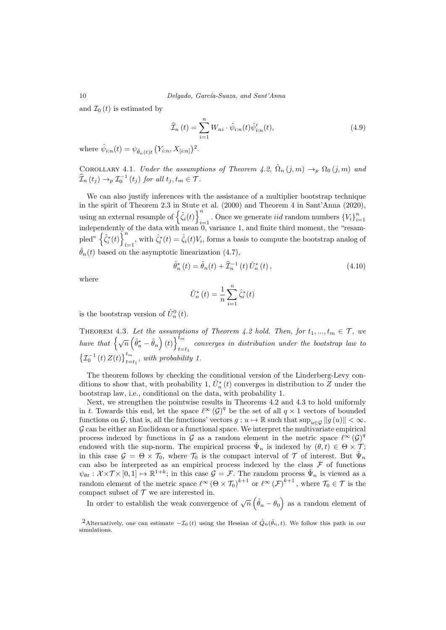and  $\mathcal{I}_0(t)$  is estimated by

$$
\widehat{\mathcal{I}}_{n}(t) = \sum_{i=1}^{n} W_{ni} \cdot \widehat{\psi}_{i:n}(t) \widehat{\psi}'_{i:n}(t), \qquad (4.9)
$$

where  $\hat{\psi}_{i:n}(t) = \psi_{\hat{\theta}_{n}(t)t} (Y_{i:n}, X_{[i:n]})^2$ .

COROLLARY 4.1. Under the assumptions of Theorem 4.2,  $\hat{\Omega}_n(j,m) \rightarrow_p \Omega_0(j,m)$  and  $\widehat{\mathcal{I}}_n(t_j) \rightarrow_p \mathcal{I}_0^{-1}(t_j)$  for all  $t_j, t_m \in \mathcal{T}$ .

We can also justify inferences with the assistance of a multiplier bootstrap technique in the spirit of Theorem 2.3 in Stute et al. (2000) and Theorem 4 in Sant'Anna (2020), using an external resample of  $\left\{\hat{\zeta}_i(t)\right\}^n$ . Once we generate *iid* random numbers  ${V_i}_{i=1}^n$ independently of the data with mean 0, variance 1, and finite third moment, the "resampled"  $\left\{\hat{\zeta}_{i}^{*}(t)\right\}^{n}$  $\hat{\zeta}_i^*(t) = \hat{\zeta}_i(t)V_i$ , forms a basis to compute the bootstrap analog of  $\hat{\theta}_n(t)$  based on the asymptotic linearization (4.7),

$$
\hat{\theta}_n^*(t) = \hat{\theta}_n(t) + \hat{\mathcal{I}}_n^{-1}(t)\,\hat{U}_n^*(t)\,,\tag{4.10}
$$

where

$$
\hat{U}_n^*(t) = \frac{1}{n} \sum_{i=1}^n \hat{\zeta}_i^*(t)
$$

is the bootstrap version of  $\hat{U}_n^0(t)$ .

THEOREM 4.3. Let the assumptions of Theorem 4.2 hold. Then, for  $t_1, ..., t_m \in \mathcal{T}$ , we have that  $\left\{ \sqrt{n} \left( \hat{\theta}_{n}^{*} - \hat{\theta}_{n} \right) (t) \right\}^{\tilde{t}_{m}}$ converges in distribution under the bootstrap law to  $t=t_1$  $\left\{ \mathcal{I}_{0}^{-1}\left(t\right)Z(t)\right\} _{t=t_{1}}^{t_{m}}, \; with \; probability \; 1.$ 

The theorem follows by checking the conditional version of the Linderberg-Levy conditions to show that, with probability 1,  $\hat{U}_n^*(t)$  converges in distribution to  $\tilde{Z}$  under the bootstrap law, i.e., conditional on the data, with probability 1.

Next, we strengthen the pointwise results in Theorems 4.2 and 4.3 to hold uniformly in t. Towards this end, let the space  $\ell^{\infty}(\mathcal{G})^q$  be the set of all  $q \times 1$  vectors of bounded functions on G, that is, all the functions' vectors  $g: u \mapsto \mathbb{R}$  such that  $\sup_{u \in G} ||g(u)|| < \infty$ .  $G$  can be either an Euclidean or a functional space. We interpret the multivariate empirical process indexed by functions in G as a random element in the metric space  $\ell^{\infty}(\mathcal{G})^q$ endowed with the sup-norm. The empirical process  $\hat{\Psi}_n$  is indexed by  $(\theta, t) \in \Theta \times \mathcal{T}$ ; in this case  $\mathcal{G} = \Theta \times \mathcal{T}_0$ , where  $\mathcal{T}_0$  is the compact interval of  $\mathcal{T}$  of interest. But  $\hat{\Psi}_n$ can also be interpreted as an empirical process indexed by the class  $\mathcal F$  of functions  $\psi_{\theta t} : \mathcal{X} \times \mathcal{T} \times [0,1] \mapsto \mathbb{R}^{1+k}$ ; in this case  $\mathcal{G} = \mathcal{F}$ . The random process  $\hat{\Psi}_n$  is viewed as a random element of the metric space  $\ell^{\infty}(\Theta \times \mathcal{T}_0)^{k+1}$  or  $\ell^{\infty}(\mathcal{F})^{k+1}$ , where  $\mathcal{T}_0 \in \mathcal{T}$  is the compact subset of  ${\mathcal T}$  we are interested in.

In order to establish the weak convergence of  $\sqrt{n}(\hat{\theta}_n - \theta_0)$  as a random element of

<sup>&</sup>lt;sup>2</sup>Alternatively, one can estimate  $-\mathcal{I}_0(t)$  using the Hessian of  $\hat{Q}_n(\hat{\theta}_n, t)$ . We follow this path in our simulations.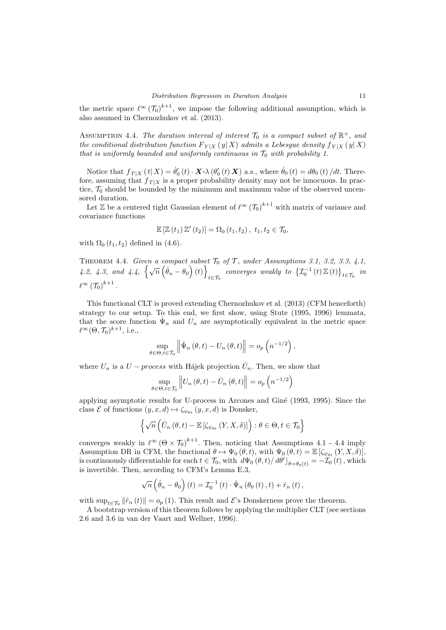the metric space  $\ell^{\infty}(\mathcal{T}_0)^{k+1}$ , we impose the following additional assumption, which is also assumed in Chernozhukov et al. (2013).

ASSUMPTION 4.4. The duration interval of interest  $\mathcal{T}_0$  is a compact subset of  $\mathbb{R}^+$ , and the conditional distribution function  $F_{Y|X}(y|X)$  admits a Lebesgue density  $f_{Y|X}(y|X)$ that is uniformly bounded and uniformly continuous in  $\mathcal{T}_0$  with probability 1.

Notice that  $f_{T|X}(t|X) = \dot{\theta}'_0(t) \cdot \mathbf{X} \cdot \lambda (\theta'_0(t) \mathbf{X})$  a.s., where  $\dot{\theta}_0(t) = d\theta_0(t)/dt$ . Therefore, assuming that  $f_{T|X}$  is a proper probability density may not be innocuous. In practice,  $\mathcal{T}_0$  should be bounded by the minimum and maximum value of the observed uncensored duration.

Let  $\mathbb Z$  be a centered tight Gaussian element of  $\ell^{\infty}(\mathcal T_0)^{k+1}$  with matrix of variance and covariance functions

$$
\mathbb{E}\left[\mathbb{Z}\left(t_1\right)\mathbb{Z}'\left(t_2\right)\right]=\Omega_0\left(t_1,t_2\right),\ t_1,t_2\in\mathcal{T}_0,
$$

with  $\Omega_0(t_1, t_2)$  defined in (4.6).

THEOREM 4.4. Given a compact subset  $\mathcal{T}_0$  of  $\mathcal{T}$ , under Assumptions 3.1, 3.2, 3.3, 4.1, 4.2, 4.3, and 4.4,  $\{\sqrt{n}(\hat{\theta}_n - \theta_0)(t)\}$ t∈ $\tau_0$  converges weakly to  $\left\{ \mathcal{I}_0^{-1}(t) \mathbb{Z}(t) \right\}_{t \in \mathcal{T}_0}$  in  $\ell^\infty \left(\mathcal{T}_0\right)^{k+1}.$ 

This functional CLT is proved extending Chernozhukov et al. (2013) (CFM henceforth) strategy to our setup. To this end, we first show, using Stute (1995, 1996) lemmata, that the score function  $\hat{\Psi}_n$  and  $U_n$  are asymptotically equivalent in the metric space  $\ell^{\infty}(\Theta, \mathcal{T}_0)^{k+1}$ , i.e.,

$$
\sup_{\theta \in \Theta, t \in \mathcal{T}_0} \left\| \hat{\Psi}_n \left( \theta, t \right) - U_n \left( \theta, t \right) \right\| = o_p \left( n^{-1/2} \right),
$$

where  $U_n$  is a  $U - process$  with Hájek projection  $\hat{U}_n$ . Then, we show that

$$
\sup_{\theta \in \Theta, t \in \mathcal{T}_0} \left\| U_n \left( \theta, t \right) - \hat{U}_n \left( \theta, t \right) \right\| = o_p \left( n^{-1/2} \right)
$$

applying asymptotic results for U-process in Arcones and Gin´e (1993, 1995). Since the class  $\mathcal E$  of functions  $(y, x, d) \mapsto \zeta_{\psi_{\theta t}} (y, x, d)$  is Donsker,

$$
\left\{\sqrt{n}\left(\hat{U}_n\left(\theta,t\right)-\mathbb{E}\left[\zeta_{\psi_{\theta t}}\left(Y,X,\delta\right)\right]\right):\theta\in\Theta,t\in\mathcal{T}_0\right\}
$$

converges weakly in  $\ell^{\infty} (\Theta \times \mathcal{T}_0)^{k+1}$ . Then, noticing that Assumptions 4.1 - 4.4 imply Assumption DR in CFM, the functional  $\theta \mapsto \Psi_0 (\theta, t)$ , with  $\Psi_0 (\theta, t) = \mathbb{E} [\zeta_{\psi_{\theta t}} (Y, X, \delta)],$ is continuously differentiable for each  $t \in \mathcal{T}_0$ , with  $d\Psi_0(\theta, t)/d\theta'$ ,  $d\theta' = -\overline{\mathcal{I}}_0(t)$ , which is invertible. Then, according to CFM's Lemma E.3,

$$
\sqrt{n}\left(\hat{\theta}_n - \theta_0\right)(t) = \mathcal{I}_0^{-1}(t) \cdot \hat{\Psi}_n\left(\theta_0(t), t\right) + \hat{r}_n(t),
$$

with  $\sup_{t\in\mathcal{T}_0} \|\hat{r}_n(t)\| = o_p(1)$ . This result and  $\mathcal{E}$ 's Donskerness prove the theorem.

A bootstrap version of this theorem follows by applying the multiplier CLT (see sections 2.6 and 3.6 in van der Vaart and Wellner, 1996).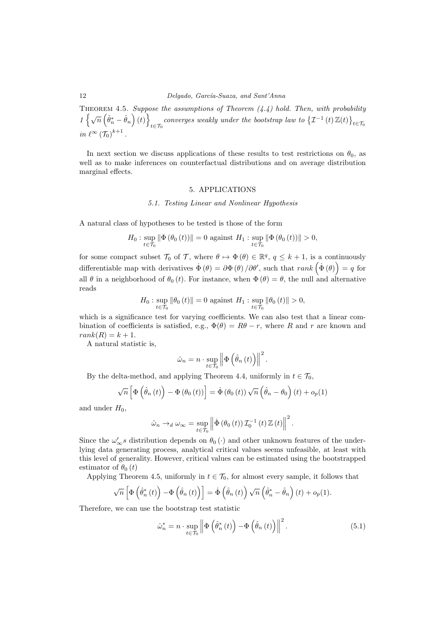THEOREM 4.5. Suppose the assumptions of Theorem  $(4.4)$  hold. Then, with probability  $1\left\{\sqrt{n}\left(\hat{\theta}^*_n-\hat{\theta}_n\right)(t)\right\}$ converges weakly under the bootstrap law to  $\{\mathcal{I}^{-1}(t)\mathbb{Z}(t)\}_{t\in\mathcal{T}_0}$ in  $\ell^{\infty}(\mathcal{T}_0)^{k+1}$ .

In next section we discuss applications of these results to test restrictions on  $\theta_0$ , as well as to make inferences on counterfactual distributions and on average distribution marginal effects.

## 5. APPLICATIONS

#### 5.1. Testing Linear and Nonlinear Hypothesis

A natural class of hypotheses to be tested is those of the form

$$
H_{0}: \sup_{t\in\mathcal{T}_{0}}\left\|\Phi\left(\theta_{0}\left(t\right)\right)\right\|=0 \text{ against } H_{1}: \sup_{t\in\mathcal{T}_{0}}\left\|\Phi\left(\theta_{0}\left(t\right)\right)\right\|>0,
$$

for some compact subset  $\mathcal{T}_0$  of  $\mathcal{T}$ , where  $\theta \mapsto \Phi(\theta) \in \mathbb{R}^q$ ,  $q \leq k+1$ , is a continuously differentiable map with derivatives  $\dot{\Phi}(\theta) = \partial \Phi(\theta) / \partial \theta'$ , such that  $rank(\dot{\Phi}(\theta)) = q$  for all  $\theta$  in a neighborhood of  $\theta_0(t)$ . For instance, when  $\Phi(\theta) = \theta$ , the null and alternative reads

$$
H_0: \sup_{t \in \mathcal{T}_0} \|\theta_0(t)\| = 0 \text{ against } H_1: \sup_{t \in \mathcal{T}_0} \|\theta_0(t)\| > 0,
$$

which is a significance test for varying coefficients. We can also test that a linear combination of coefficients is satisfied, e.g.,  $\Phi(\theta) = R\theta - r$ , where R and r are known and  $rank(R) = k + 1.$ 

A natural statistic is,

$$
\hat{\omega}_n = n \cdot \sup_{t \in \mathcal{T}_0} \left\| \Phi\left(\hat{\theta}_n(t)\right) \right\|^2.
$$

By the delta-method, and applying Theorem 4.4, uniformly in  $t \in \mathcal{T}_0$ ,

$$
\sqrt{n}\left[\Phi\left(\hat{\theta}_n\left(t\right)\right)-\Phi\left(\theta_0\left(t\right)\right)\right]=\dot{\Phi}\left(\theta_0\left(t\right)\right)\sqrt{n}\left(\hat{\theta}_n-\theta_0\right)\left(t\right)+o_p(1)
$$

and under  $H_0$ ,

$$
\hat{\omega}_n \to_d \omega_{\infty} = \sup_{t \in \mathcal{T}_0} \left\| \dot{\Phi} \left( \theta_0 \left( t \right) \right) \mathcal{I}_0^{-1} \left( t \right) \mathbb{Z} \left( t \right) \right\|^2.
$$

Since the  $\omega'_{\infty} s$  distribution depends on  $\theta_0(\cdot)$  and other unknown features of the underlying data generating process, analytical critical values seems unfeasible, at least with this level of generality. However, critical values can be estimated using the bootstrapped estimator of  $\theta_0(t)$ 

Applying Theorem 4.5, uniformly in  $t \in \mathcal{T}_0$ , for almost every sample, it follows that

$$
\sqrt{n}\left[\Phi\left(\hat{\theta}_n^*(t)\right)-\Phi\left(\hat{\theta}_n(t)\right)\right]=\dot{\Phi}\left(\hat{\theta}_n(t)\right)\sqrt{n}\left(\hat{\theta}_n^*-\hat{\theta}_n\right)(t)+o_p(1).
$$

Therefore, we can use the bootstrap test statistic

$$
\hat{\omega}_n^* = n \cdot \sup_{t \in \mathcal{T}_0} \left\| \Phi\left(\hat{\theta}_n^*(t)\right) - \Phi\left(\hat{\theta}_n(t)\right) \right\|^2.
$$
\n(5.1)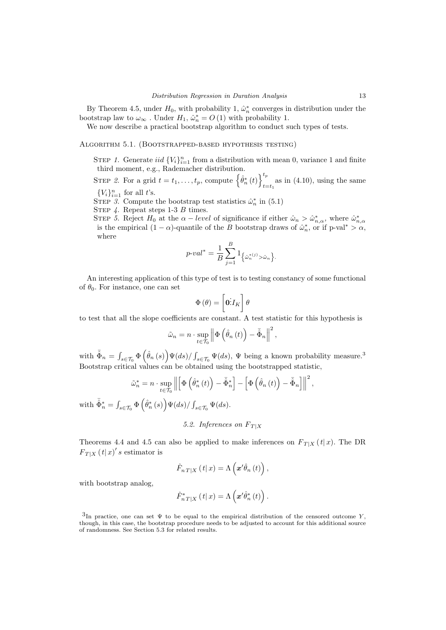By Theorem 4.5, under  $H_0$ , with probability 1,  $\hat{\omega}_n^*$  converges in distribution under the bootstrap law to  $\omega_{\infty}$ . Under  $H_1$ ,  $\hat{\omega}_n^* = O(1)$  with probability 1.

We now describe a practical bootstrap algorithm to conduct such types of tests.

Algorithm 5.1. (Bootstrapped-based hypothesis testing)

STEP 1. Generate iid  ${V_i}_{i=1}^n$  from a distribution with mean 0, variance 1 and finite third moment, e.g., Rademacher distribution.

STEP 2. For a grid  $t = t_1, \ldots, t_p$ , compute  $\left\{\hat{\theta}_n^*(t)\right\}_{k=1}^{t_p}$  $\sum_{t=t_1}$  as in (4.10), using the same  ${V<sub>i</sub>}<sub>i=1</sub><sup>n</sup>$  for all t's.

STEP 3. Compute the bootstrap test statistics  $\hat{\omega}_n^*$  in (5.1)

STEP  $4$ . Repeat steps 1-3 B times.

STEP 5. Reject  $H_0$  at the  $\alpha - level$  of significance if either  $\hat{\omega}_n > \hat{\omega}_{n,\alpha}^*$ , where  $\hat{\omega}_{n,\alpha}^*$ is the empirical  $(1 - \alpha)$ -quantile of the B bootstrap draws of  $\hat{\omega}_n^*$ , or if p-val\* >  $\alpha$ , where

$$
p\text{-}val^* = \frac{1}{B} \sum_{j=1}^{B} 1_{\left\{\hat{\omega}_n^{*(j)} > \hat{\omega}_n\right\}}.
$$

An interesting application of this type of test is to testing constancy of some functional of  $\theta_0$ . For instance, one can set

$$
\Phi\left(\theta\right)=\left[\mathbf{0}\dot{\mathbf{\mathit{I}}}_{K}\right]\theta
$$

to test that all the slope coefficients are constant. A test statistic for this hypothesis is

$$
\tilde{\omega}_n = n \cdot \sup_{t \in \mathcal{T}_0} \left\| \Phi\left(\hat{\theta}_n\left(t\right)\right) - \bar{\hat{\Phi}}_n \right\|^2,
$$

with  $\bar{\hat{\Phi}}_n = \int_{s \in \mathcal{T}_0} \Phi\left(\hat{\theta}_n(s)\right) \Psi(ds) / \int_{s \in \mathcal{T}_0} \Psi(ds)$ ,  $\Psi$  being a known probability measure.<sup>3</sup> Bootstrap critical values can be obtained using the bootstrapped statistic,

,

$$
\tilde{\omega}_{n}^{*} = n \cdot \sup_{t \in \mathcal{T}_{0}} \left\| \left[ \Phi\left(\hat{\theta}_{n}^{*}\left(t\right)\right) - \bar{\hat{\Phi}}_{n}^{*} \right] - \left[ \Phi\left(\hat{\theta}_{n}\left(t\right)\right) - \bar{\hat{\Phi}}_{n} \right] \right\|^{2}
$$

with  $\bar{\hat{\Phi}}_n^* = \int_{s \in \mathcal{T}_0} \Phi\left(\hat{\theta}_n^*(s)\right) \Psi(ds) / \int_{s \in \mathcal{T}_0} \Psi(ds)$ .

5.2. Inferences on  $F_{T|X}$ 

Theorems 4.4 and 4.5 can also be applied to make inferences on  $F_{T|X}(t|x)$ . The DR  $F_{T|X}(t|x)'s$  estimator is

$$
\hat{F}_{n T \mid X}\left(\left.t\right|x\right) = \Lambda\left(\boldsymbol{x}'\hat{\theta}_{n}\left(t\right)\right),\,
$$

with bootstrap analog,

$$
\hat{F}_{n\,T|X}^{*}\left(t|x\right) = \Lambda\left(\mathbf{x}'\hat{\theta}_{n}^{*}\left(t\right)\right).
$$

<sup>&</sup>lt;sup>3</sup>In practice, one can set  $\Psi$  to be equal to the empirical distribution of the censored outcome Y, though, in this case, the bootstrap procedure needs to be adjusted to account for this additional source of randomness. See Section 5.3 for related results.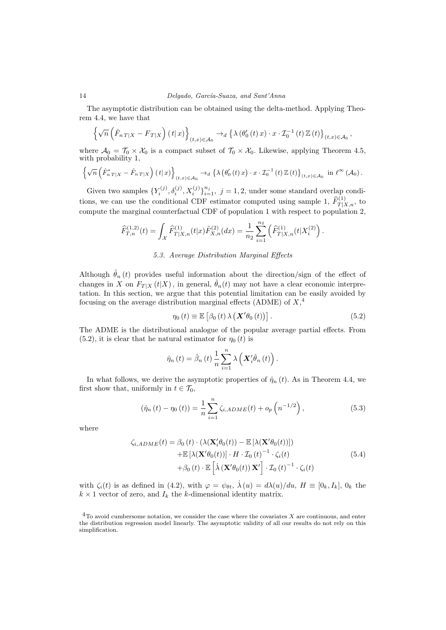#### 14 Delgado, García-Suaza, and Sant'Anna

The asymptotic distribution can be obtained using the delta-method. Applying Theorem 4.4, we have that

$$
\left\{\sqrt{n}\left(\hat{F}_{nT|X}-F_{T|X}\right)(t|x)\right\}_{(t,x)\in\mathcal{A}_0}\to_d\left\{\lambda\left(\theta_0'(t)x\right)\cdot x\cdot\mathcal{I}_0^{-1}(t)\mathbb{Z}(t)\right\}_{(t,x)\in\mathcal{A}_0},\,
$$

where  $\mathcal{A}_0 = \mathcal{T}_0 \times \mathcal{X}_0$  is a compact subset of  $\mathcal{T}_0 \times \mathcal{X}_0$ . Likewise, applying Theorem 4.5, with probability 1,

$$
\left\{\sqrt{n}\left(\hat{F}_{n}^{*}T|X-\hat{F}_{n}T|X\right)(t|x)\right\}_{(t,x)\in\mathcal{A}_{0}}\to_{d}\left\{\lambda\left(\theta_{0}'\left(t\right)x\right)\cdot x\cdot\mathcal{I}_{0}^{-1}\left(t\right)\mathbb{Z}\left(t\right)\right\}_{(t,x)\in\mathcal{A}_{0}}\text{ in } \ell^{\infty}\left(\mathcal{A}_{0}\right).
$$

Given two samples  $\{Y_i^{(j)}, \delta_i^{(j)}, X_i^{(j)}\}_{i=1}^{n_j}$ ,  $j = 1, 2$ , under some standard overlap conditions, we can use the conditional CDF estimator computed using sample 1,  $\widehat{F}_{T|X,n}^{(1)}$ , to compute the marginal counterfactual CDF of population 1 with respect to population 2,

$$
\widehat{F}_{T,n}^{(1,2)}(t) = \int_{\mathcal{X}} \widehat{F}_{T|X,n}^{(1)}(t|x) \tilde{F}_{X,n}^{(2)}(dx) = \frac{1}{n_2} \sum_{i=1}^{n_2} \left( \widehat{F}_{T|X,n}^{(1)}(t|X_i^{(2)}) \right).
$$

## 5.3. Average Distribution Marginal Effects

Although  $\hat{\theta}_n(t)$  provides useful information about the direction/sign of the effect of changes in X on  $F_{T|X} (t|X)$ , in general,  $\hat{\theta}_n(t)$  may not have a clear economic interpretation. In this section, we argue that this potential limitation can be easily avoided by focusing on the average distribution marginal effects (ADME) of  $X,^4$ 

$$
\eta_0(t) \equiv \mathbb{E}\left[\beta_0(t)\,\lambda\left(\mathbf{X}'\theta_0(t)\right)\right].\tag{5.2}
$$

The ADME is the distributional analogue of the popular average partial effects. From  $(5.2)$ , it is clear that he natural estimator for  $\eta_0(t)$  is

$$
\hat{\eta}_n(t) = \hat{\beta}_n(t) \frac{1}{n} \sum_{i=1}^n \lambda \left( \mathbf{X}'_i \hat{\theta}_n(t) \right).
$$

In what follows, we derive the asymptotic properties of  $\hat{\eta}_n(t)$ . As in Theorem 4.4, we first show that, uniformly in  $t \in \mathcal{T}_0$ ,

$$
(\hat{\eta}_n(t) - \eta_0(t)) = \frac{1}{n} \sum_{i=1}^n \zeta_{i,ADME}(t) + o_p\left(n^{-1/2}\right),
$$
\n(5.3)

where

$$
\zeta_{i,ADME}(t) = \beta_0(t) \cdot (\lambda(\mathbf{X}'_i \theta_0(t)) - \mathbb{E} [\lambda(\mathbf{X}' \theta_0(t))]) \n+ \mathbb{E} [\lambda(\mathbf{X}' \theta_0(t))] \cdot H \cdot \mathcal{I}_0(t)^{-1} \cdot \zeta_i(t) \n+ \beta_0(t) \cdot \mathbb{E} [\lambda(\mathbf{X}' \theta_0(t)) \mathbf{X}'] \cdot \mathcal{I}_0(t)^{-1} \cdot \zeta_i(t)
$$
\n(5.4)

with  $\zeta_i(t)$  is as defined in (4.2), with  $\varphi = \psi_{\theta t}$ ,  $\dot{\lambda}(u) = d\lambda(u)/du$ ,  $H \equiv [0_k, I_k]$ ,  $0_k$  the  $k \times 1$  vector of zero, and  $I_k$  the k-dimensional identity matrix.

 $4$ To avoid cumbersome notation, we consider the case where the covariates X are continuous, and enter the distribution regression model linearly. The asymptotic validity of all our results do not rely on this simplification.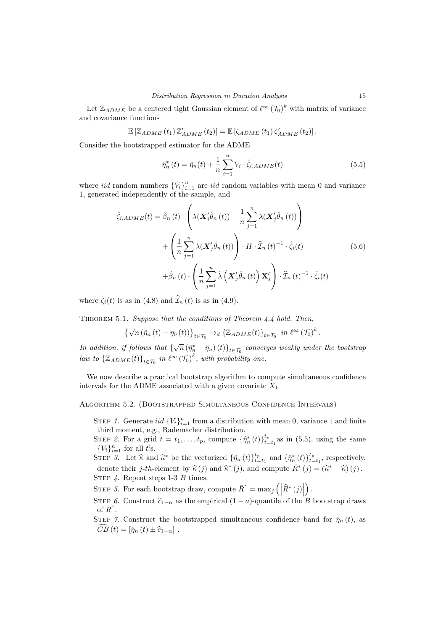Let  $\mathbb{Z}_{ADME}$  be a centered tight Gaussian element of  $\ell^{\infty}(\mathcal{T}_0)^k$  with matrix of variance and covariance functions

$$
\mathbb{E}\left[\mathbb{Z}_{ADME}\left(t_{1}\right)\mathbb{Z}_{ADME}'\left(t_{2}\right)\right]=\mathbb{E}\left[\zeta_{ADME}\left(t_{1}\right)\zeta_{ADME}'\left(t_{2}\right)\right].
$$

Consider the bootstrapped estimator for the ADME

$$
\hat{\eta}_n^*(t) = \hat{\eta}_n(t) + \frac{1}{n} \sum_{i=1}^n V_i \cdot \hat{\zeta}_{i,ADME}(t)
$$
\n(5.5)

where *iid* random numbers  ${V_i}_{i=1}^n$  are *iid* random variables with mean 0 and variance 1, generated independently of the sample, and

$$
\hat{\zeta}_{i,ADME}(t) = \hat{\beta}_n(t) \cdot \left( \lambda(\mathbf{X}_i' \hat{\theta}_n(t)) - \frac{1}{n} \sum_{j=1}^n \lambda(\mathbf{X}_j' \hat{\theta}_n(t)) \right) \n+ \left( \frac{1}{n} \sum_{j=1}^n \lambda(\mathbf{X}_j' \hat{\theta}_n(t)) \right) \cdot H \cdot \hat{\mathcal{I}}_n(t)^{-1} \cdot \hat{\zeta}_i(t) \n+ \hat{\beta}_n(t) \cdot \left( \frac{1}{n} \sum_{j=1}^n \lambda(\mathbf{X}_j' \hat{\theta}_n(t)) \mathbf{X}_j' \right) \cdot \hat{\mathcal{I}}_n(t)^{-1} \cdot \hat{\zeta}_i(t)
$$
\n(5.6)

where  $\hat{\zeta}_i(t)$  is as in (4.8) and  $\hat{\mathcal{I}}_n(t)$  is as in (4.9).

THEOREM 5.1. Suppose that the conditions of Theorem 4.4 hold. Then,

$$
\left\{\sqrt{n}\left(\hat{\eta}_{n}\left(t\right)-\eta_{0}\left(t\right)\right)\right\}_{t\in\mathcal{T}_{0}}\rightarrow_{d}\left\{\mathbb{Z}_{ADME}(t)\right\}_{t\in\mathcal{T}_{0}}\;in\;\ell^{\infty}\left(\mathcal{T}_{0}\right)^{k}.
$$

In addition, if follows that  $\{\sqrt{n}(\hat{\eta}_n^* - \hat{\eta}_n)(t)\}_{t \in \mathcal{T}_0}$  converges weakly under the bootstrap law to  $\{ \mathbb{Z}_{ADME}(t) \}_{t \in \mathcal{T}_0}$  in  $\ell^{\infty} (\mathcal{T}_0)^k$ , with probability one.

We now describe a practical bootstrap algorithm to compute simultaneous confidence intervals for the ADME associated with a given covariate  $X_1$ 

Algorithm 5.2. (Bootstrapped Simultaneous Confidence Intervals)

STEP 1. Generate iid  ${V_i}_{i=1}^n$  from a distribution with mean 0, variance 1 and finite third moment, e.g., Rademacher distribution.

STEP 2. For a grid  $t = t_1, \ldots, t_p$ , compute  $\{\hat{\eta}_n^*(t)\}_{t=t_1}^{t_p}$  as in (5.5), using the same  ${V<sub>i</sub>}<sub>i=1</sub><sup>n</sup>$  for all t's.

STEP 3. Let  $\hat{\kappa}$  and  $\hat{\kappa}^*$  be the vectorized  $\{\hat{\eta}_n(t)\}_{t=t_1}^{t_p}$  and  $\{\hat{\eta}_n^*(t)\}_{t=t_1}^{t_p}$ , respectively, denote their *j*-th-element by  $\hat{\kappa}(j)$  and  $\hat{\kappa}^*(j)$ , and compute  $\hat{R}^*(j) = (\hat{\kappa}^* - \hat{\kappa})(j)$ .

STEP  $4$ . Repeat steps 1-3 B times.

STEP 5. For each bootstrap draw, compute  $\overline{R}^* = \max_j \left( \left| \widehat{R}^*(j) \right| \right)$ .

STEP 6. Construct  $\hat{c}_{1-\alpha}$  as the empirical  $(1 - a)$ -quantile of the B bootstrap draws of  $\overline{R}^*$ .

STEP 7. Construct the bootstrapped simultaneous confidence band for  $\hat{\eta}_n(t)$ , as  $\widehat{CB}(t) = [\hat{\eta}_n(t) \pm \widehat{c}_{1-\alpha}]$ .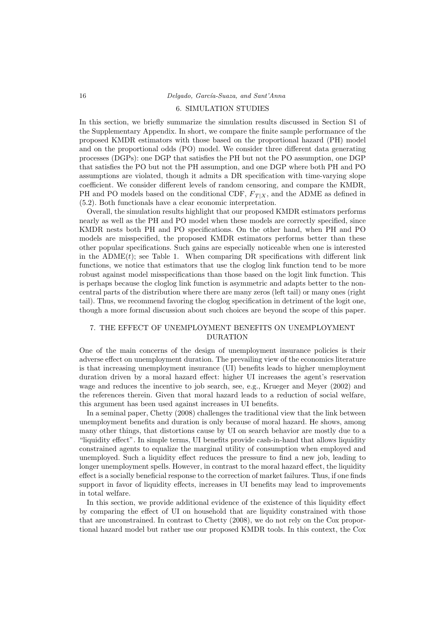#### 6. SIMULATION STUDIES

In this section, we briefly summarize the simulation results discussed in Section S1 of the Supplementary Appendix. In short, we compare the finite sample performance of the proposed KMDR estimators with those based on the proportional hazard (PH) model and on the proportional odds (PO) model. We consider three different data generating processes (DGPs): one DGP that satisfies the PH but not the PO assumption, one DGP that satisfies the PO but not the PH assumption, and one DGP where both PH and PO assumptions are violated, though it admits a DR specification with time-varying slope coefficient. We consider different levels of random censoring, and compare the KMDR, PH and PO models based on the conditional CDF,  $F_{T|X}$ , and the ADME as defined in (5.2). Both functionals have a clear economic interpretation.

Overall, the simulation results highlight that our proposed KMDR estimators performs nearly as well as the PH and PO model when these models are correctly specified, since KMDR nests both PH and PO specifications. On the other hand, when PH and PO models are misspecified, the proposed KMDR estimators performs better than these other popular specifications. Such gains are especially noticeable when one is interested in the  $ADME(t)$ ; see Table 1. When comparing DR specifications with different link functions, we notice that estimators that use the cloglog link function tend to be more robust against model misspecifications than those based on the logit link function. This is perhaps because the cloglog link function is asymmetric and adapts better to the noncentral parts of the distribution where there are many zeros (left tail) or many ones (right tail). Thus, we recommend favoring the cloglog specification in detriment of the logit one, though a more formal discussion about such choices are beyond the scope of this paper.

# 7. THE EFFECT OF UNEMPLOYMENT BENEFITS ON UNEMPLOYMENT DURATION

One of the main concerns of the design of unemployment insurance policies is their adverse effect on unemployment duration. The prevailing view of the economics literature is that increasing unemployment insurance (UI) benefits leads to higher unemployment duration driven by a moral hazard effect: higher UI increases the agent's reservation wage and reduces the incentive to job search, see, e.g., Krueger and Meyer (2002) and the references therein. Given that moral hazard leads to a reduction of social welfare, this argument has been used against increases in UI benefits.

In a seminal paper, Chetty (2008) challenges the traditional view that the link between unemployment benefits and duration is only because of moral hazard. He shows, among many other things, that distortions cause by UI on search behavior are mostly due to a "liquidity effect". In simple terms, UI benefits provide cash-in-hand that allows liquidity constrained agents to equalize the marginal utility of consumption when employed and unemployed. Such a liquidity effect reduces the pressure to find a new job, leading to longer unemployment spells. However, in contrast to the moral hazard effect, the liquidity effect is a socially beneficial response to the correction of market failures. Thus, if one finds support in favor of liquidity effects, increases in UI benefits may lead to improvements in total welfare.

In this section, we provide additional evidence of the existence of this liquidity effect by comparing the effect of UI on household that are liquidity constrained with those that are unconstrained. In contrast to Chetty (2008), we do not rely on the Cox proportional hazard model but rather use our proposed KMDR tools. In this context, the Cox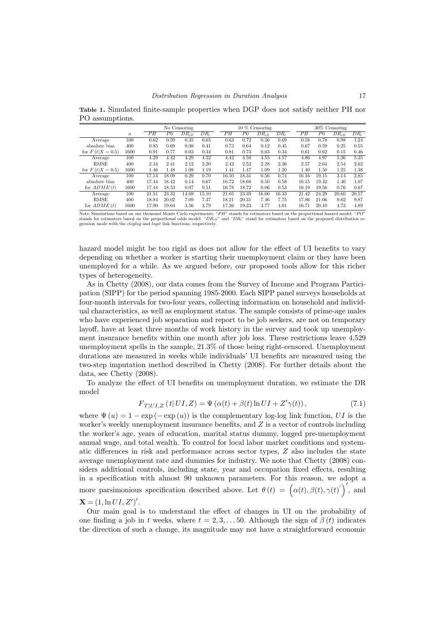Table 1. Simulated finite-sample properties when DGP does not satisfy neither PH nor PO assumptions.

|                    |                  |       | No Censoring   |                   |        |  |       | $10\%$ Censoring |            |                 |  |       | $30\%$ Censoring |            |        |  |
|--------------------|------------------|-------|----------------|-------------------|--------|--|-------|------------------|------------|-----------------|--|-------|------------------|------------|--------|--|
|                    | $\boldsymbol{n}$ | PН    | P <sub>0</sub> | $DR_{\text{cll}}$ | $DR_l$ |  | PН    | P <sub>0</sub>   | $DR_{cll}$ | DR <sub>l</sub> |  | PН    | P <sub>0</sub>   | $DR_{cll}$ | $DR_I$ |  |
| Average            | 100              | 0.62  | 0.59           | 0.35              | 0.65   |  | 0.63  | 0.72             | 0.36       | 0.69            |  | 0.58  | 0.78             | 0.98       | 1.24   |  |
| absolute bias      | 400              | 0.85  | 0.69           | 0.08              | 0.41   |  | 0.73  | 0.64             | 0.12       | 0.45            |  | 0.67  | 0.59             | 0.25       | 0.55   |  |
| for $F(t X = 0.5)$ | 1600             | 0.91  | 0.77           | 0.03              | 0.34   |  | 0.81  | 0.73             | 0.03       | 0.34            |  | 0.61  | 0.62             | 0.15       | 0.46   |  |
| Average            | 100              | 4.29  | 4.42           | 4.29              | 4.32   |  | 4.42  | 4.58             | 4.55       | 4.57            |  | 4.86  | 4.97             | 5.36       | 5.35   |  |
| <b>RMSE</b>        | 400              | 2.34  | 2.41           | 2.12              | 2.20   |  | 2.42  | 2.52             | 2.28       | 2.36            |  | 2.57  | 2.64             | 2.54       | 2.62   |  |
| for $F(t X = 0.5)$ | 1600             | 1.46  | 1.48           | 1.08              | 1.19   |  | 1.41  | 1.47             | 1.09       | 1.20            |  | 1.40  | 1.50             | 1.25       | 1.38   |  |
| Average            | 100              | 17.13 | 18.09          | 0.29              | 0.70   |  | 16.50 | 18.31            | 0.56       | 0.74            |  | 16.16 | 19.15            | 3.14       | 2.85   |  |
| absolute bias      | 400              | 17.44 | 18.42          | 0.14              | 0.67   |  | 16.72 | 18.68            | 0.50       | 0.58            |  | 16.15 | 19.42            | 1.40       | 1.07   |  |
| for $ADME(t)$      | 1600             | 17.44 | 18.53          | 0.07              | 0.51   |  | 16.78 | 18.72            | 0.06       | 0.53            |  | 16.19 | 19.56            | 0.76       | 0.67   |  |
| Average            | 100              | 21.51 | 23.32          | 14.69             | 15.10  |  | 21.05 | 23.39            | 16.00      | 16.33           |  | 21.42 | 24.29            | 20.60      | 20.57  |  |
| <b>RMSE</b>        | 400              | 18.84 | 20.02          | 7.09              | 7.37   |  | 18.21 | 20.31            | 7.46       | 7.75            |  | 17.86 | 21.06            | 9.62       | 9.87   |  |
| for $ADME(t)$      | 1600             | 17.90 | 19.04          | 3.56              | 3.79   |  | 17.26 | 19.23            | 3.77       | 4.01            |  | 16.71 | 20.10            | 4.73       | 4.89   |  |

Note: Simulations based on one thousand Monte Carlo experiments. "PH" stands for estimators based on the proportional hazard model. "PO" stands for estimators based on the proportional odds model. " $DR_{\text{cl}}$ " and " $DR_{\text{cl$ gression mode with the cloglog and logit link functions, respectively.

hazard model might be too rigid as does not allow for the effect of UI benefits to vary depending on whether a worker is starting their unemployment claim or they have been unemployed for a while. As we argued before, our proposed tools allow for this richer types of heterogeneity.

As in Chetty (2008), our data comes from the Survey of Income and Program Participation (SIPP) for the period spanning 1985-2000. Each SIPP panel surveys households at four-month intervals for two-four years, collecting information on household and individual characteristics, as well as employment status. The sample consists of prime-age males who have experienced job separation and report to be job seekers, are not on temporary layoff, have at least three months of work history in the survey and took up unemployment insurance benefits within one month after job loss. These restrictions leave 4,529 unemployment spells in the sample, 21.3% of those being right-censored. Unemployment durations are measured in weeks while individuals' UI benefits are measured using the two-step imputation method described in Chetty (2008). For further details about the data, see Chetty (2008).

To analyze the effect of UI benefits on unemployment duration, we estimate the DR model

$$
F_{T|UI,Z}(t|UI,Z) = \Psi\left(\alpha(t) + \beta(t)\ln UI + Z'\gamma(t)\right),\tag{7.1}
$$

where  $\Psi(u) = 1 - \exp(-\exp(u))$  is the complementary log-log link function, UI is the worker's weekly unemployment insurance benefits, and  $Z$  is a vector of controls including the worker's age, years of education, marital status dummy, logged pre-unemployment annual wage, and total wealth. To control for local labor market conditions and systematic differences in risk and performance across sector types, Z also includes the state average unemployment rate and dummies for industry. We note that Chetty (2008) considers additional controls, including state, year and occupation fixed effects, resulting in a specification with almost 90 unknown parameters. For this reason, we adopt a more parsimonious specification described above. Let  $\theta(t) = (\alpha(t), \beta(t), \gamma(t))'$ , and  $X = (1, \ln UI, Z')'.$ 

Our main goal is to understand the effect of changes in UI on the probability of one finding a job in t weeks, where  $t = 2, 3, \ldots, 50$ . Although the sign of  $\beta(t)$  indicates the direction of such a change, its magnitude may not have a straightforward economic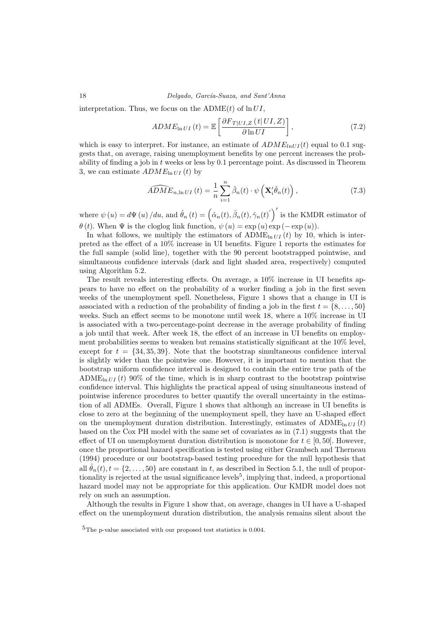18 Delgado, García-Suaza, and Sant'Anna

interpretation. Thus, we focus on the ADME(t) of  $\ln UI$ .

$$
ADME_{\ln UI}(t) = \mathbb{E}\left[\frac{\partial F_{T|UI,Z}(t|UI,Z)}{\partial \ln UI}\right],\tag{7.2}
$$

which is easy to interpret. For instance, an estimate of  $ADME<sub>inUI</sub>(t)$  equal to 0.1 suggests that, on average, raising unemployment benefits by one percent increases the probability of finding a job in t weeks or less by 0.1 percentage point. As discussed in Theorem 3, we can estimate  $ADME_{\ln U I} (t)$  by

$$
\widehat{ADME}_{n,\ln UI}(t) = \frac{1}{n} \sum_{i=1}^{n} \hat{\beta}_n(t) \cdot \psi\left(\mathbf{X}_i'\hat{\theta}_n(t)\right),\tag{7.3}
$$

where  $\psi(u) = d\Psi(u) / du$ , and  $\hat{\theta}_n(t) = (\hat{\alpha}_n(t), \hat{\beta}_n(t), \hat{\gamma}_n(t)')'$  is the KMDR estimator of  $\theta(t)$ . When  $\Psi$  is the cloglog link function,  $\psi(u) = \exp(u) \exp(-\exp(u))$ .

In what follows, we multiply the estimators of  $ADME_{ln III}(t)$  by 10, which is interpreted as the effect of a 10% increase in UI benefits. Figure 1 reports the estimates for the full sample (solid line), together with the 90 percent bootstrapped pointwise, and simultaneous confidence intervals (dark and light shaded area, respectively) computed using Algorithm 5.2.

The result reveals interesting effects. On average, a 10% increase in UI benefits appears to have no effect on the probability of a worker finding a job in the first seven weeks of the unemployment spell. Nonetheless, Figure 1 shows that a change in UI is associated with a reduction of the probability of finding a job in the first  $t = \{8, \ldots, 50\}$ weeks. Such an effect seems to be monotone until week 18, where a 10% increase in UI is associated with a two-percentage-point decrease in the average probability of finding a job until that week. After week 18, the effect of an increase in UI benefits on employment probabilities seems to weaken but remains statistically significant at the 10% level, except for  $t = \{34, 35, 39\}$ . Note that the bootstrap simultaneous confidence interval is slightly wider than the pointwise one. However, it is important to mention that the bootstrap uniform confidence interval is designed to contain the entire true path of the ADME<sub>ln *U*I</sub> (t) 90% of the time, which is in sharp contrast to the bootstrap pointwise confidence interval. This highlights the practical appeal of using simultaneous instead of pointwise inference procedures to better quantify the overall uncertainty in the estimation of all ADMEs. Overall, Figure 1 shows that although an increase in UI benefits is close to zero at the beginning of the unemployment spell, they have an U-shaped effect on the unemployment duration distribution. Interestingly, estimates of  $\text{ADME}_{\ln U}$  (t) based on the Cox PH model with the same set of covariates as in (7.1) suggests that the effect of UI on unemployment duration distribution is monotone for  $t \in [0, 50]$ . However, once the proportional hazard specification is tested using either Grambsch and Therneau (1994) procedure or our bootstrap-based testing procedure for the null hypothesis that all  $\hat{\theta}_n(t), t = \{2, \ldots, 50\}$  are constant in t, as described in Section 5.1, the null of proportionality is rejected at the usual significance levels<sup>5</sup>, implying that, indeed, a proportional hazard model may not be appropriate for this application. Our KMDR model does not rely on such an assumption.

Although the results in Figure 1 show that, on average, changes in UI have a U-shaped effect on the unemployment duration distribution, the analysis remains silent about the

 ${}^{5}$ The p-value associated with our proposed test statistics is 0.004.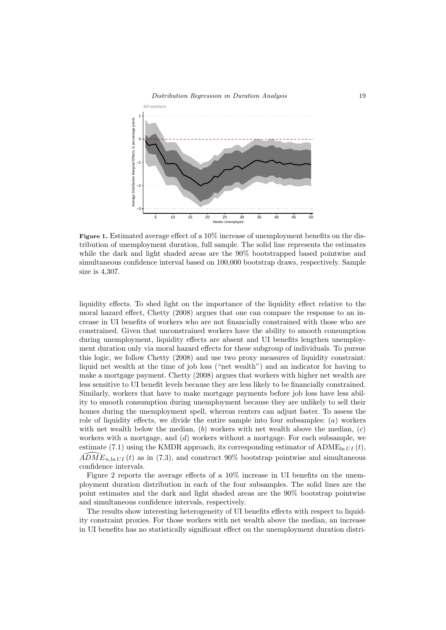

Figure 1. Estimated average effect of a 10% increase of unemployment benefits on the distribution of unemployment duration, full sample. The solid line represents the estimates while the dark and light shaded areas are the 90% bootstrapped based pointwise and simultaneous confidence interval based on 100,000 bootstrap draws, respectively. Sample size is 4,307.

liquidity effects. To shed light on the importance of the liquidity effect relative to the moral hazard effect, Chetty (2008) argues that one can compare the response to an increase in UI benefits of workers who are not financially constrained with those who are constrained. Given that unconstrained workers have the ability to smooth consumption during unemployment, liquidity effects are absent and UI benefits lengthen unemployment duration only via moral hazard effects for these subgroup of individuals. To pursue this logic, we follow Chetty (2008) and use two proxy measures of liquidity constraint: liquid net wealth at the time of job loss ("net wealth") and an indicator for having to make a mortgage payment. Chetty (2008) argues that workers with higher net wealth are less sensitive to UI benefit levels because they are less likely to be financially constrained. Similarly, workers that have to make mortgage payments before job loss have less ability to smooth consumption during unemployment because they are unlikely to sell their homes during the unemployment spell, whereas renters can adjust faster. To assess the role of liquidity effects, we divide the entire sample into four subsamples:  $(a)$  workers with net wealth below the median,  $(b)$  workers with net wealth above the median,  $(c)$ workers with a mortgage, and  $(d)$  workers without a mortgage. For each subsample, we estimate (7.1) using the KMDR approach, its corresponding estimator of  $ADME<sub>ln U I</sub>(t)$ ,  $ADME$ <sub>n,ln</sub> U<sub>I</sub> (t) as in (7.3), and construct 90% bootstrap pointwise and simultaneous confidence intervals.

Figure 2 reports the average effects of a 10% increase in UI benefits on the unemployment duration distribution in each of the four subsamples. The solid lines are the point estimates and the dark and light shaded areas are the 90% bootstrap pointwise and simultaneous confidence intervals, respectively.

The results show interesting heterogeneity of UI benefits effects with respect to liquidity constraint proxies. For those workers with net wealth above the median, an increase in UI benefits has no statistically significant effect on the unemployment duration distri-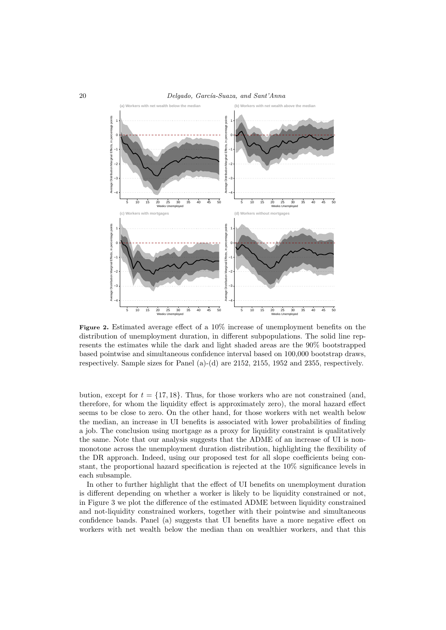

Figure 2. Estimated average effect of a 10% increase of unemployment benefits on the distribution of unemployment duration, in different subpopulations. The solid line represents the estimates while the dark and light shaded areas are the 90% bootstrapped based pointwise and simultaneous confidence interval based on 100,000 bootstrap draws, respectively. Sample sizes for Panel (a)-(d) are 2152, 2155, 1952 and 2355, respectively.

bution, except for  $t = \{17, 18\}$ . Thus, for those workers who are not constrained (and, therefore, for whom the liquidity effect is approximately zero), the moral hazard effect seems to be close to zero. On the other hand, for those workers with net wealth below the median, an increase in UI benefits is associated with lower probabilities of finding a job. The conclusion using mortgage as a proxy for liquidity constraint is qualitatively the same. Note that our analysis suggests that the ADME of an increase of UI is nonmonotone across the unemployment duration distribution, highlighting the flexibility of the DR approach. Indeed, using our proposed test for all slope coefficients being constant, the proportional hazard specification is rejected at the 10% significance levels in each subsample.

In other to further highlight that the effect of UI benefits on unemployment duration is different depending on whether a worker is likely to be liquidity constrained or not, in Figure 3 we plot the difference of the estimated ADME between liquidity constrained and not-liquidity constrained workers, together with their pointwise and simultaneous confidence bands. Panel (a) suggests that UI benefits have a more negative effect on workers with net wealth below the median than on wealthier workers, and that this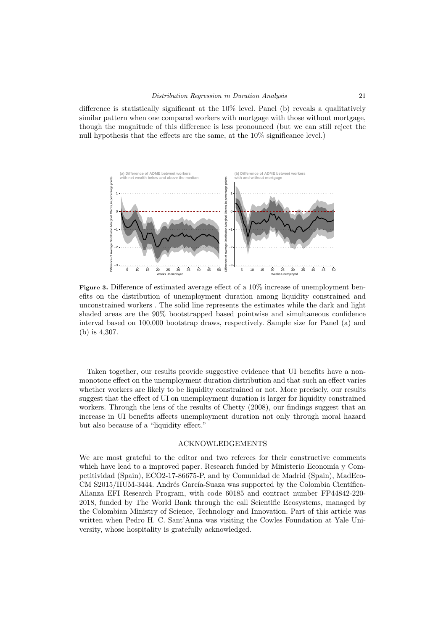difference is statistically significant at the 10% level. Panel (b) reveals a qualitatively similar pattern when one compared workers with mortgage with those without mortgage, though the magnitude of this difference is less pronounced (but we can still reject the null hypothesis that the effects are the same, at the 10% significance level.)



Figure 3. Difference of estimated average effect of a 10% increase of unemployment benefits on the distribution of unemployment duration among liquidity constrained and unconstrained workers . The solid line represents the estimates while the dark and light shaded areas are the 90% bootstrapped based pointwise and simultaneous confidence interval based on 100,000 bootstrap draws, respectively. Sample size for Panel (a) and (b) is 4,307.

Taken together, our results provide suggestive evidence that UI benefits have a nonmonotone effect on the unemployment duration distribution and that such an effect varies whether workers are likely to be liquidity constrained or not. More precisely, our results suggest that the effect of UI on unemployment duration is larger for liquidity constrained workers. Through the lens of the results of Chetty (2008), our findings suggest that an increase in UI benefits affects unemployment duration not only through moral hazard but also because of a "liquidity effect."

#### ACKNOWLEDGEMENTS

We are most grateful to the editor and two referees for their constructive comments which have lead to a improved paper. Research funded by Ministerio Economía y Competitividad (Spain), ECO2-17-86675-P, and by Comunidad de Madrid (Spain), MadEco-CM S2015/HUM-3444. Andrés García-Suaza was supported by the Colombia Científica-Alianza EFI Research Program, with code 60185 and contract number FP44842-220- 2018, funded by The World Bank through the call Scientific Ecosystems, managed by the Colombian Ministry of Science, Technology and Innovation. Part of this article was written when Pedro H. C. Sant'Anna was visiting the Cowles Foundation at Yale University, whose hospitality is gratefully acknowledged.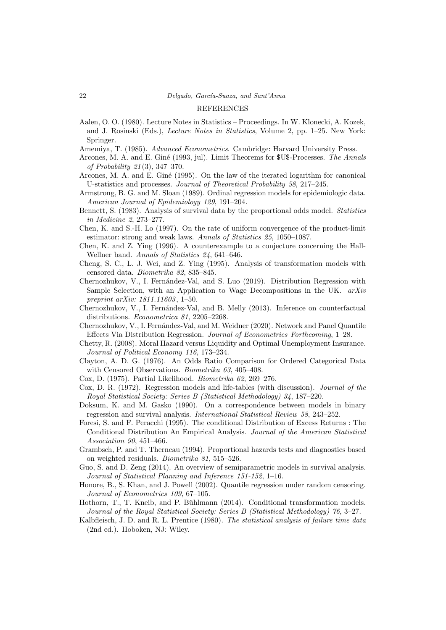#### REFERENCES

- Aalen, O. O. (1980). Lecture Notes in Statistics Proceedings. In W. Klonecki, A. Kozek, and J. Rosinski (Eds.), Lecture Notes in Statistics, Volume 2, pp. 1–25. New York: Springer.
- Amemiya, T. (1985). Advanced Econometrics. Cambridge: Harvard University Press.
- Arcones, M. A. and E. Giné (1993, jul). Limit Theorems for \$U\$-Processes. The Annals of Probability 21 (3), 347–370.
- Arcones, M. A. and E. Gin´e (1995). On the law of the iterated logarithm for canonical U-statistics and processes. Journal of Theoretical Probability 58, 217–245.
- Armstrong, B. G. and M. Sloan (1989). Ordinal regression models for epidemiologic data. American Journal of Epidemiology 129, 191–204.
- Bennett, S. (1983). Analysis of survival data by the proportional odds model. Statistics in Medicine 2, 273–277.
- Chen, K. and S.-H. Lo (1997). On the rate of uniform convergence of the product-limit estimator: strong and weak laws. Annals of Statistics 25, 1050–1087.
- Chen, K. and Z. Ying (1996). A counterexample to a conjecture concerning the Hall-Wellner band. Annals of Statistics 24, 641–646.
- Cheng, S. C., L. J. Wei, and Z. Ying (1995). Analysis of transformation models with censored data. Biometrika 82, 835–845.
- Chernozhukov, V., I. Fernández-Val, and S. Luo (2019). Distribution Regression with Sample Selection, with an Application to Wage Decompositions in the UK. arXiv preprint arXiv: 1811.11603, 1-50.
- Chernozhukov, V., I. Fernández-Val, and B. Melly (2013). Inference on counterfactual distributions. Econometrica 81, 2205–2268.
- Chernozhukov, V., I. Fernández-Val, and M. Weidner (2020). Network and Panel Quantile Effects Via Distribution Regression. Journal of Econometrics Forthcoming, 1–28.
- Chetty, R. (2008). Moral Hazard versus Liquidity and Optimal Unemployment Insurance. Journal of Political Economy 116, 173–234.
- Clayton, A. D. G. (1976). An Odds Ratio Comparison for Ordered Categorical Data with Censored Observations. Biometrika 63, 405–408.
- Cox, D. (1975). Partial Likelihood. Biometrika 62, 269–276.
- Cox, D. R. (1972). Regression models and life-tables (with discussion). Journal of the Royal Statistical Society: Series B (Statistical Methodology) 34, 187–220.
- Doksum, K. and M. Gasko (1990). On a correspondence between models in binary regression and survival analysis. International Statistical Review 58, 243–252.
- Foresi, S. and F. Peracchi (1995). The conditional Distribution of Excess Returns : The Conditional Distribution An Empirical Analysis. Journal of the American Statistical Association 90, 451–466.
- Grambsch, P. and T. Therneau (1994). Proportional hazards tests and diagnostics based on weighted residuals. Biometrika 81, 515–526.
- Guo, S. and D. Zeng (2014). An overview of semiparametric models in survival analysis. Journal of Statistical Planning and Inference 151-152, 1–16.
- Honore, B., S. Khan, and J. Powell (2002). Quantile regression under random censoring. Journal of Econometrics 109, 67–105.
- Hothorn, T., T. Kneib, and P. Bühlmann (2014). Conditional transformation models. Journal of the Royal Statistical Society: Series B (Statistical Methodology) 76, 3–27.
- Kalbfleisch, J. D. and R. L. Prentice (1980). The statistical analysis of failure time data (2nd ed.). Hoboken, NJ: Wiley.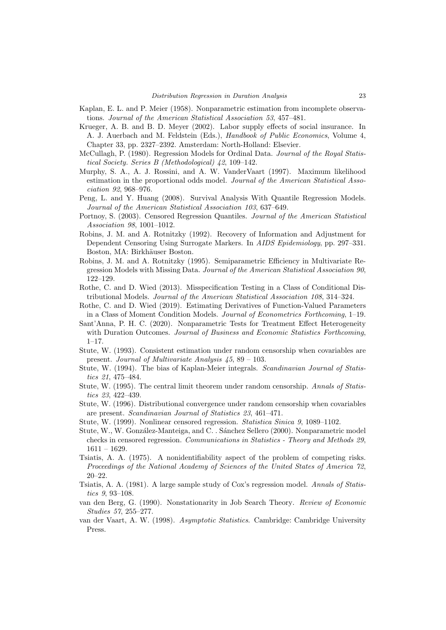- Kaplan, E. L. and P. Meier (1958). Nonparametric estimation from incomplete observations. Journal of the American Statistical Association 53, 457–481.
- Krueger, A. B. and B. D. Meyer (2002). Labor supply effects of social insurance. In A. J. Auerbach and M. Feldstein (Eds.), Handbook of Public Economics, Volume 4, Chapter 33, pp. 2327–2392. Amsterdam: North-Holland: Elsevier.
- McCullagh, P. (1980). Regression Models for Ordinal Data. Journal of the Royal Statistical Society. Series B (Methodological) 42, 109–142.
- Murphy, S. A., A. J. Rossini, and A. W. VanderVaart (1997). Maximum likelihood estimation in the proportional odds model. Journal of the American Statistical Association 92, 968–976.
- Peng, L. and Y. Huang (2008). Survival Analysis With Quantile Regression Models. Journal of the American Statistical Association 103, 637–649.
- Portnoy, S. (2003). Censored Regression Quantiles. Journal of the American Statistical Association 98, 1001–1012.
- Robins, J. M. and A. Rotnitzky (1992). Recovery of Information and Adjustment for Dependent Censoring Using Surrogate Markers. In AIDS Epidemiology, pp. 297–331. Boston, MA: Birkhäuser Boston.
- Robins, J. M. and A. Rotnitzky (1995). Semiparametric Efficiency in Multivariate Regression Models with Missing Data. Journal of the American Statistical Association 90, 122–129.
- Rothe, C. and D. Wied (2013). Misspecification Testing in a Class of Conditional Distributional Models. Journal of the American Statistical Association 108, 314–324.
- Rothe, C. and D. Wied (2019). Estimating Derivatives of Function-Valued Parameters in a Class of Moment Condition Models. Journal of Econometrics Forthcoming, 1–19.
- Sant'Anna, P. H. C. (2020). Nonparametric Tests for Treatment Effect Heterogeneity with Duration Outcomes. Journal of Business and Economic Statistics Forthcoming, 1–17.
- Stute, W. (1993). Consistent estimation under random censorship when covariables are present. Journal of Multivariate Analysis 45, 89 – 103.
- Stute, W. (1994). The bias of Kaplan-Meier integrals. Scandinavian Journal of Statistics 21, 475–484.
- Stute, W. (1995). The central limit theorem under random censorship. Annals of Statistics 23, 422–439.
- Stute, W. (1996). Distributional convergence under random censorship when covariables are present. Scandinavian Journal of Statistics 23, 461–471.
- Stute, W. (1999). Nonlinear censored regression. Statistica Sinica 9, 1089–1102.
- Stute, W., W. González-Manteiga, and C. . Sánchez Sellero (2000). Nonparametric model checks in censored regression. Communications in Statistics - Theory and Methods 29,  $1611 - 1629.$
- Tsiatis, A. A. (1975). A nonidentifiability aspect of the problem of competing risks. Proceedings of the National Academy of Sciences of the United States of America 72, 20–22.
- Tsiatis, A. A. (1981). A large sample study of Cox's regression model. Annals of Statistics 9, 93–108.
- van den Berg, G. (1990). Nonstationarity in Job Search Theory. Review of Economic Studies 57, 255–277.
- van der Vaart, A. W. (1998). Asymptotic Statistics. Cambridge: Cambridge University Press.